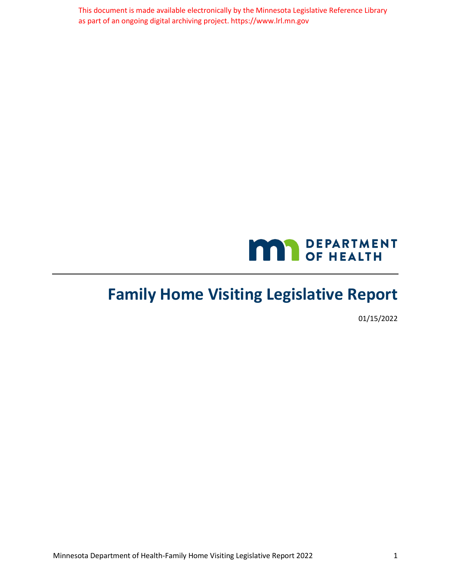This document is made available electronically by the Minnesota Legislative Reference Library as part of an ongoing digital archiving project. https://www.lrl.mn.gov



# **Family Home Visiting Legislative Report**

01/15/2022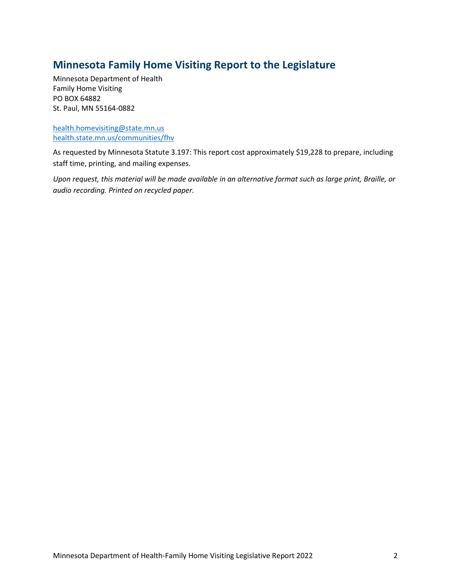## **Minnesota Family Home Visiting Report to the Legislature**

Minnesota Department of Health Family Home Visiting PO BOX 64882 St. Paul, MN 55164-0882

[health.homevisiting@state.mn.us](mailto:health.homevisiting@state.mn.us) [health.state.mn.us/communities/fhv](https://www.health.state.mn.us/communities/fhv/index.html)

As requested by Minnesota Statute 3.197: This report cost approximately \$19,228 to prepare, including staff time, printing, and mailing expenses.

*Upon request, this material will be made available in an alternative format such as large print, Braille, or audio recording. Printed on recycled paper.*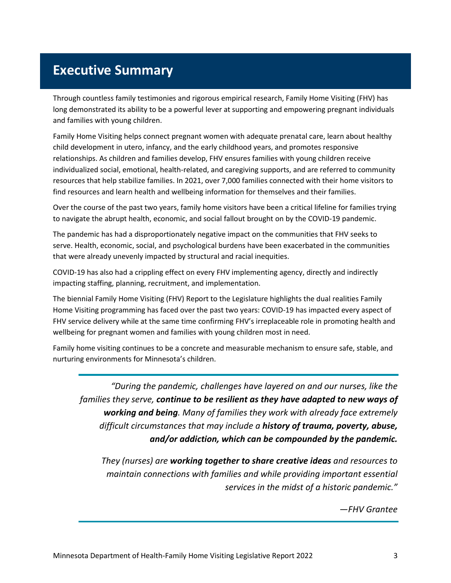# <span id="page-2-0"></span>**Executive Summary**

Through countless family testimonies and rigorous empirical research, Family Home Visiting (FHV) has long demonstrated its ability to be a powerful lever at supporting and empowering pregnant individuals and families with young children.

Family Home Visiting helps connect pregnant women with adequate prenatal care, learn about healthy child development in utero, infancy, and the early childhood years, and promotes responsive relationships. As children and families develop, FHV ensures families with young children receive individualized social, emotional, health-related, and caregiving supports, and are referred to community resources that help stabilize families. In 2021, over 7,000 families connected with their home visitors to find resources and learn health and wellbeing information for themselves and their families.

Over the course of the past two years, family home visitors have been a critical lifeline for families trying to navigate the abrupt health, economic, and social fallout brought on by the COVID-19 pandemic.

The pandemic has had a disproportionately negative impact on the communities that FHV seeks to serve. Health, economic, social, and psychological burdens have been exacerbated in the communities that were already unevenly impacted by structural and racial inequities.

COVID-19 has also had a crippling effect on every FHV implementing agency, directly and indirectly impacting staffing, planning, recruitment, and implementation.

The biennial Family Home Visiting (FHV) Report to the Legislature highlights the dual realities Family Home Visiting programming has faced over the past two years: COVID-19 has impacted every aspect of FHV service delivery while at the same time confirming FHV's irreplaceable role in promoting health and wellbeing for pregnant women and families with young children most in need.

Family home visiting continues to be a concrete and measurable mechanism to ensure safe, stable, and nurturing environments for Minnesota's children.

*"During the pandemic, challenges have layered on and our nurses, like the families they serve, continue to be resilient as they have adapted to new ways of working and being. Many of families they work with already face extremely difficult circumstances that may include a history of trauma, poverty, abuse, and/or addiction, which can be compounded by the pandemic.*

*They (nurses) are working together to share creative ideas and resources to maintain connections with families and while providing important essential services in the midst of a historic pandemic."* 

*—FHV Grantee*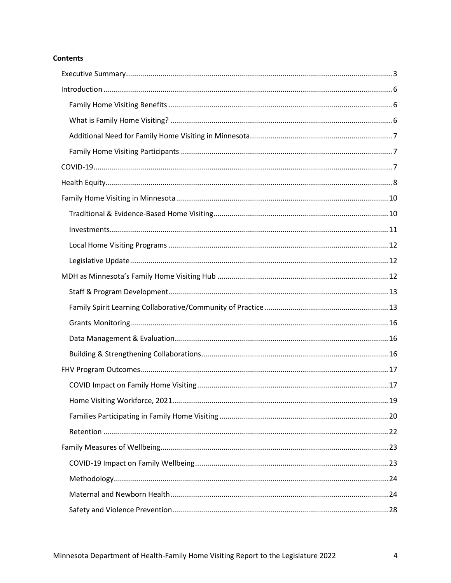#### **Contents**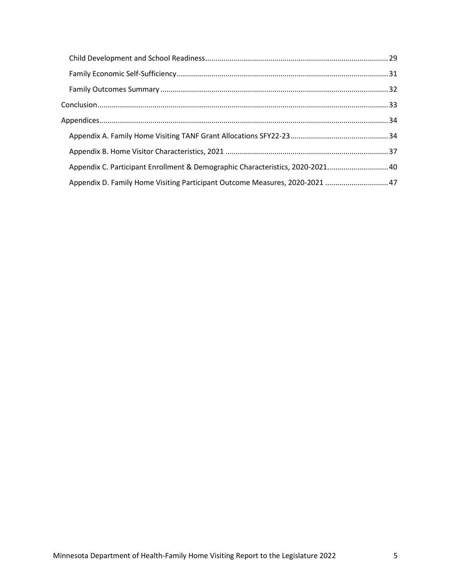| Appendix C. Participant Enrollment & Demographic Characteristics, 2020-2021 40 |  |
|--------------------------------------------------------------------------------|--|
| Appendix D. Family Home Visiting Participant Outcome Measures, 2020-2021  47   |  |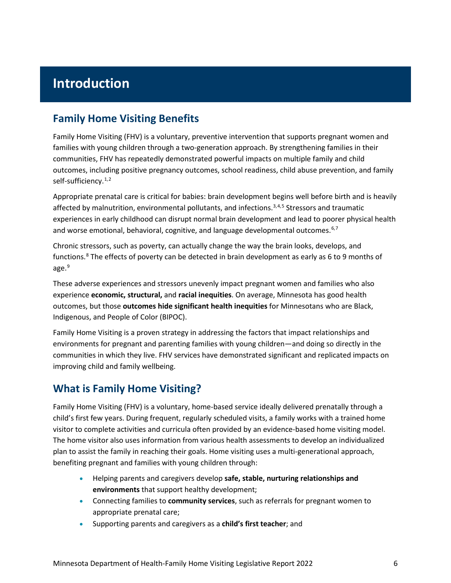# <span id="page-5-0"></span>**Introduction**

## <span id="page-5-1"></span>**Family Home Visiting Benefits**

Family Home Visiting (FHV) is a voluntary, preventive intervention that supports pregnant women and families with young children through a two-generation approach. By strengthening families in their communities, FHV has repeatedly demonstrated powerful impacts on multiple family and child outcomes, including positive pregnancy outcomes, school readiness, child abuse prevention, and family self-sufficiency.<sup>[1](#page-50-0),[2](#page-50-1)</sup>

Appropriate prenatal care is critical for babies: brain development begins well before birth and is heavily affected by malnutrition, environmental pollutants, and infections. $3,4,5$  $3,4,5$  $3,4,5$  $3,4,5$  Stressors and traumatic experiences in early childhood can disrupt normal brain development and lead to poorer physical health and worse emotional, behavioral, cognitive, and language developmental outcomes.<sup>[6,](#page-50-5)[7](#page-50-6)</sup>

Chronic stressors, such as poverty, can actually change the way the brain looks, develops, and functions.<sup>[8](#page-50-7)</sup> The effects of poverty can be detected in brain development as early as 6 to 9 months of age.<sup>[9](#page-50-8)</sup>

These adverse experiences and stressors unevenly impact pregnant women and families who also experience **economic, structural,** and **racial inequities**. On average, Minnesota has good health outcomes, but those **outcomes hide significant health inequities** for Minnesotans who are Black, Indigenous, and People of Color (BIPOC).

Family Home Visiting is a proven strategy in addressing the factors that impact relationships and environments for pregnant and parenting families with young children—and doing so directly in the communities in which they live. FHV services have demonstrated significant and replicated impacts on improving child and family wellbeing.

## <span id="page-5-2"></span>**What is Family Home Visiting?**

Family Home Visiting (FHV) is a voluntary, home-based service ideally delivered prenatally through a child's first few years. During frequent, regularly scheduled visits, a family works with a trained home visitor to complete activities and curricula often provided by an evidence-based home visiting model. The home visitor also uses information from various health assessments to develop an individualized plan to assist the family in reaching their goals. Home visiting uses a multi-generational approach, benefiting pregnant and families with young children through:

- Helping parents and caregivers develop **safe, stable, nurturing relationships and environments** that support healthy development;
- Connecting families to **community services**, such as referrals for pregnant women to appropriate prenatal care;
- Supporting parents and caregivers as a **child's first teacher**; and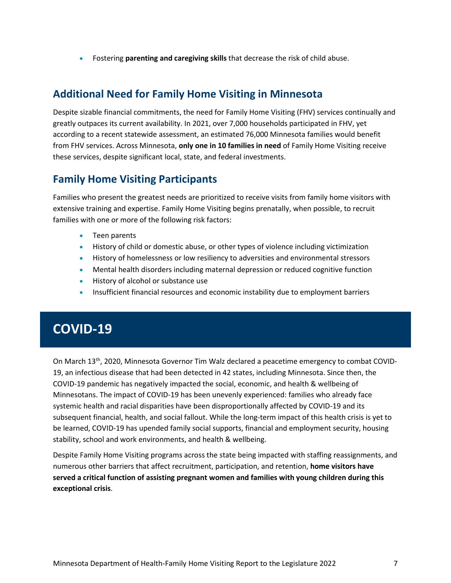• Fostering **parenting and caregiving skills** that decrease the risk of child abuse.

## <span id="page-6-0"></span>**Additional Need for Family Home Visiting in Minnesota**

Despite sizable financial commitments, the need for Family Home Visiting (FHV) services continually and greatly outpaces its current availability. In 2021, over 7,000 households participated in FHV, yet according to a recent statewide assessment, an estimated 76,000 Minnesota families would benefit from FHV services. Across Minnesota, **only one in 10 families in need** of Family Home Visiting receive these services, despite significant local, state, and federal investments.

## <span id="page-6-1"></span>**Family Home Visiting Participants**

Families who present the greatest needs are prioritized to receive visits from family home visitors with extensive training and expertise. Family Home Visiting begins prenatally, when possible, to recruit families with one or more of the following risk factors:

- Teen parents
- History of child or domestic abuse, or other types of violence including victimization
- History of homelessness or low resiliency to adversities and environmental stressors
- Mental health disorders including maternal depression or reduced cognitive function
- History of alcohol or substance use
- Insufficient financial resources and economic instability due to employment barriers

# <span id="page-6-2"></span>**COVID-19**

On March 13th, 2020, Minnesota Governor Tim Walz declared a peacetime emergency to combat COVID-19, an infectious disease that had been detected in 42 states, including Minnesota. Since then, the COVID-19 pandemic has negatively impacted the social, economic, and health & wellbeing of Minnesotans. The impact of COVID-19 has been unevenly experienced: families who already face systemic health and racial disparities have been disproportionally affected by COVID-19 and its subsequent financial, health, and social fallout. While the long-term impact of this health crisis is yet to be learned, COVID-19 has upended family social supports, financial and employment security, housing stability, school and work environments, and health & wellbeing.

Despite Family Home Visiting programs across the state being impacted with staffing reassignments, and numerous other barriers that affect recruitment, participation, and retention, **home visitors have served a critical function of assisting pregnant women and families with young children during this exceptional crisis**.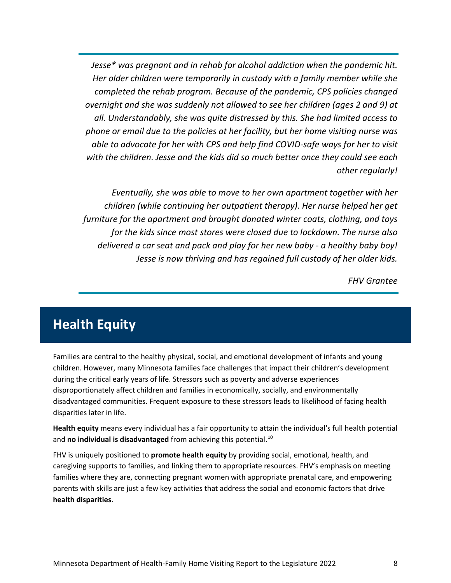*Jesse\* was pregnant and in rehab for alcohol addiction when the pandemic hit. Her older children were temporarily in custody with a family member while she completed the rehab program. Because of the pandemic, CPS policies changed overnight and she was suddenly not allowed to see her children (ages 2 and 9) at all. Understandably, she was quite distressed by this. She had limited access to phone or email due to the policies at her facility, but her home visiting nurse was able to advocate for her with CPS and help find COVID-safe ways for her to visit with the children. Jesse and the kids did so much better once they could see each other regularly!*

*Eventually, she was able to move to her own apartment together with her children (while continuing her outpatient therapy). Her nurse helped her get furniture for the apartment and brought donated winter coats, clothing, and toys for the kids since most stores were closed due to lockdown. The nurse also delivered a car seat and pack and play for her new baby - a healthy baby boy! Jesse is now thriving and has regained full custody of her older kids.*

*FHV Grantee*

# <span id="page-7-0"></span>**Health Equity**

Families are central to the healthy physical, social, and emotional development of infants and young children. However, many Minnesota families face challenges that impact their children's development during the critical early years of life. Stressors such as poverty and adverse experiences disproportionately affect children and families in economically, socially, and environmentally disadvantaged communities. Frequent exposure to these stressors leads to likelihood of facing health disparities later in life.

**Health equity** means every individual has a fair opportunity to attain the individual's full health potential and **no individual is disadvantaged** from achieving this potential.<sup>[10](#page-50-9)</sup>

FHV is uniquely positioned to **promote health equity** by providing social, emotional, health, and caregiving supports to families, and linking them to appropriate resources. FHV's emphasis on meeting families where they are, connecting pregnant women with appropriate prenatal care, and empowering parents with skills are just a few key activities that address the social and economic factors that drive **health disparities**.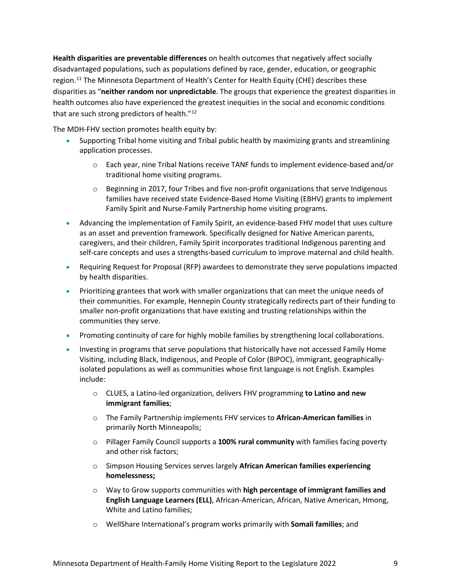**Health disparities are preventable differences** on health outcomes that negatively affect socially disadvantaged populations, such as populations defined by race, gender, education, or geographic region.<sup>[11](#page-50-10)</sup> The Minnesota Department of Health's Center for Health Equity (CHE) describes these disparities as "**neither random nor unpredictable**. The groups that experience the greatest disparities in health outcomes also have experienced the greatest inequities in the social and economic conditions that are such strong predictors of health."<sup>[12](#page-50-11)</sup>

The MDH-FHV section promotes health equity by:

- Supporting Tribal home visiting and Tribal public health by maximizing grants and streamlining application processes.
	- $\circ$  Each year, nine Tribal Nations receive TANF funds to implement evidence-based and/or traditional home visiting programs.
	- $\circ$  Beginning in 2017, four Tribes and five non-profit organizations that serve Indigenous families have received state Evidence-Based Home Visiting (EBHV) grants to implement Family Spirit and Nurse-Family Partnership home visiting programs.
- Advancing the implementation of Family Spirit, an evidence-based FHV model that uses culture as an asset and prevention framework. Specifically designed for Native American parents, caregivers, and their children, Family Spirit incorporates traditional Indigenous parenting and self-care concepts and uses a strengths-based curriculum to improve maternal and child health.
- Requiring Request for Proposal (RFP) awardees to demonstrate they serve populations impacted by health disparities.
- Prioritizing grantees that work with smaller organizations that can meet the unique needs of their communities. For example, Hennepin County strategically redirects part of their funding to smaller non-profit organizations that have existing and trusting relationships within the communities they serve.
- Promoting continuity of care for highly mobile families by strengthening local collaborations.
- Investing in programs that serve populations that historically have not accessed Family Home Visiting, including Black, Indigenous, and People of Color (BIPOC), immigrant, geographicallyisolated populations as well as communities whose first language is not English. Examples include:
	- o CLUES, a Latino-led organization, delivers FHV programming **to Latino and new immigrant families**;
	- o The Family Partnership implements FHV services to **African-American families** in primarily North Minneapolis;
	- o Pillager Family Council supports a **100% rural community** with families facing poverty and other risk factors;
	- o Simpson Housing Services serves largely **African American families experiencing homelessness;**
	- o Way to Grow supports communities with **high percentage of immigrant families and English Language Learners (ELL)**, African-American, African, Native American, Hmong, White and Latino families;
	- o WellShare International's program works primarily with **Somali families**; and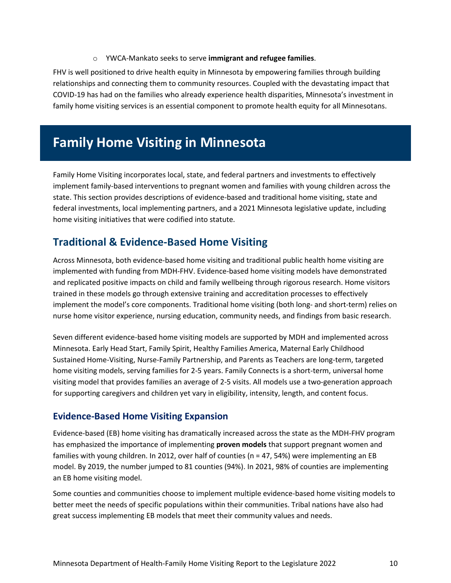#### o YWCA-Mankato seeks to serve **immigrant and refugee families**.

FHV is well positioned to drive health equity in Minnesota by empowering families through building relationships and connecting them to community resources. Coupled with the devastating impact that COVID-19 has had on the families who already experience health disparities, Minnesota's investment in family home visiting services is an essential component to promote health equity for all Minnesotans.

# <span id="page-9-0"></span>**Family Home Visiting in Minnesota**

Family Home Visiting incorporates local, state, and federal partners and investments to effectively implement family-based interventions to pregnant women and families with young children across the state. This section provides descriptions of evidence-based and traditional home visiting, state and federal investments, local implementing partners, and a 2021 Minnesota legislative update, including home visiting initiatives that were codified into statute.

## <span id="page-9-1"></span>**Traditional & Evidence-Based Home Visiting**

Across Minnesota, both evidence-based home visiting and traditional public health home visiting are implemented with funding from MDH-FHV. Evidence-based home visiting models have demonstrated and replicated positive impacts on child and family wellbeing through rigorous research. Home visitors trained in these models go through extensive training and accreditation processes to effectively implement the model's core components. Traditional home visiting (both long- and short-term) relies on nurse home visitor experience, nursing education, community needs, and findings from basic research.

Seven different evidence-based home visiting models are supported by MDH and implemented across Minnesota. Early Head Start, Family Spirit, Healthy Families America, Maternal Early Childhood Sustained Home-Visiting, Nurse-Family Partnership, and Parents as Teachers are long-term, targeted home visiting models, serving families for 2-5 years. Family Connects is a short-term, universal home visiting model that provides families an average of 2-5 visits. All models use a two-generation approach for supporting caregivers and children yet vary in eligibility, intensity, length, and content focus.

#### **Evidence-Based Home Visiting Expansion**

Evidence-based (EB) home visiting has dramatically increased across the state as the MDH-FHV program has emphasized the importance of implementing **proven models** that support pregnant women and families with young children. In 2012, over half of counties (n = 47, 54%) were implementing an EB model. By 2019, the number jumped to 81 counties (94%). In 2021, 98% of counties are implementing an EB home visiting model.

Some counties and communities choose to implement multiple evidence-based home visiting models to better meet the needs of specific populations within their communities. Tribal nations have also had great success implementing EB models that meet their community values and needs.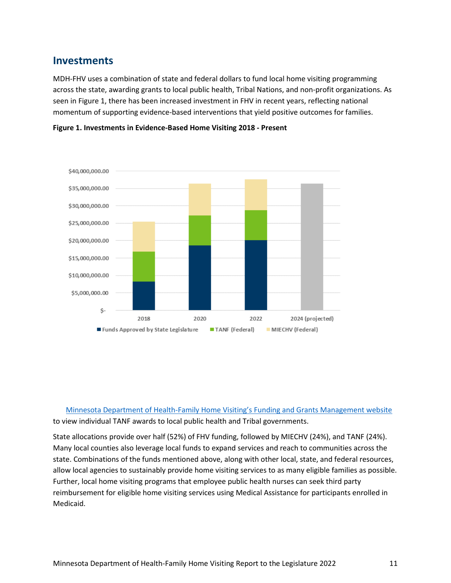## <span id="page-10-0"></span>**Investments**

MDH-FHV uses a combination of state and federal dollars to fund local home visiting programming across the state, awarding grants to local public health, Tribal Nations, and non-profit organizations. As seen in Figure 1, there has been increased investment in FHV in recent years, reflecting national momentum of supporting evidence-based interventions that yield positive outcomes for families.



**Figure 1. Investments in Evidence-Based Home Visiting 2018 - Present**

[Minnesota Department of Health-Family Home Visiting's Funding and Grants Management website](https://www.health.state.mn.us/communities/fhv/grant.html) to view individual TANF awards to local public health and Tribal governments.

State allocations provide over half (52%) of FHV funding, followed by MIECHV (24%), and TANF (24%). Many local counties also leverage local funds to expand services and reach to communities across the state. Combinations of the funds mentioned above, along with other local, state, and federal resources, allow local agencies to sustainably provide home visiting services to as many eligible families as possible. Further, local home visiting programs that employee public health nurses can seek third party reimbursement for eligible home visiting services using Medical Assistance for participants enrolled in Medicaid.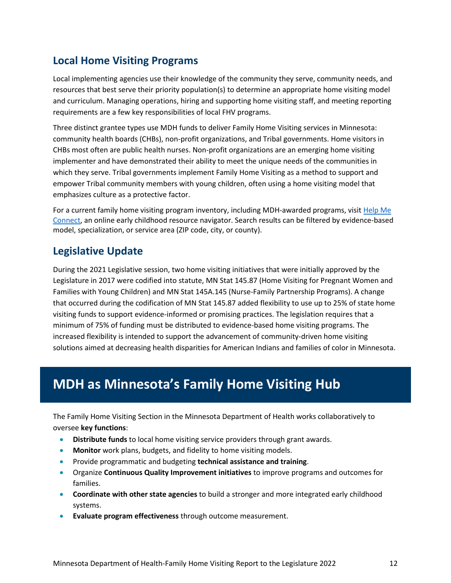## <span id="page-11-0"></span>**Local Home Visiting Programs**

Local implementing agencies use their knowledge of the community they serve, community needs, and resources that best serve their priority population(s) to determine an appropriate home visiting model and curriculum. Managing operations, hiring and supporting home visiting staff, and meeting reporting requirements are a few key responsibilities of local FHV programs.

Three distinct grantee types use MDH funds to deliver Family Home Visiting services in Minnesota: community health boards (CHBs), non-profit organizations, and Tribal governments. Home visitors in CHBs most often are public health nurses. Non-profit organizations are an emerging home visiting implementer and have demonstrated their ability to meet the unique needs of the communities in which they serve. Tribal governments implement Family Home Visiting as a method to support and empower Tribal community members with young children, often using a home visiting model that emphasizes culture as a protective factor.

For a current family home visiting program inventory, including MDH-awarded programs, visit Help Me [Connect,](https://helpmeconnect.web.health.state.mn.us/HelpMeConnect/Search/HealthyDevelopmentandScreening/FamilyHomeVisiting?loc=8100%2092nd%20Trail%20N%2C%20Brooklyn%20Park%2C%20MN%2055445&geo=45.123083%2C-93.374324) an online early childhood resource navigator. Search results can be filtered by evidence-based model, specialization, or service area (ZIP code, city, or county).

## <span id="page-11-1"></span>**Legislative Update**

During the 2021 Legislative session, two home visiting initiatives that were initially approved by the Legislature in 2017 were codified into statute, MN Stat 145.87 (Home Visiting for Pregnant Women and Families with Young Children) and MN Stat 145A.145 (Nurse-Family Partnership Programs). A change that occurred during the codification of MN Stat 145.87 added flexibility to use up to 25% of state home visiting funds to support evidence-informed or promising practices. The legislation requires that a minimum of 75% of funding must be distributed to evidence-based home visiting programs. The increased flexibility is intended to support the advancement of community-driven home visiting solutions aimed at decreasing health disparities for American Indians and families of color in Minnesota.

# <span id="page-11-2"></span>**MDH as Minnesota's Family Home Visiting Hub**

The Family Home Visiting Section in the Minnesota Department of Health works collaboratively to oversee **key functions**:

- **Distribute funds** to local home visiting service providers through grant awards.
- **Monitor** work plans, budgets, and fidelity to home visiting models.
- Provide programmatic and budgeting **technical assistance and training**.
- Organize **Continuous Quality Improvement initiatives** to improve programs and outcomes for families.
- **Coordinate with other state agencies** to build a stronger and more integrated early childhood systems.
- **Evaluate program effectiveness** through outcome measurement.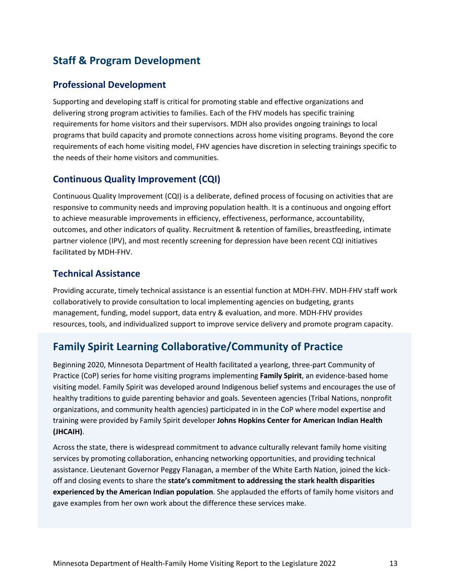## <span id="page-12-0"></span>**Staff & Program Development**

#### **Professional Development**

Supporting and developing staff is critical for promoting stable and effective organizations and delivering strong program activities to families. Each of the FHV models has specific training requirements for home visitors and their supervisors. MDH also provides ongoing trainings to local programs that build capacity and promote connections across home visiting programs. Beyond the core requirements of each home visiting model, FHV agencies have discretion in selecting trainings specific to the needs of their home visitors and communities.

#### **Continuous Quality Improvement (CQI)**

Continuous Quality Improvement (CQI) is a deliberate, defined process of focusing on activities that are responsive to community needs and improving population health. It is a continuous and ongoing effort to achieve measurable improvements in efficiency, effectiveness, performance, accountability, outcomes, and other indicators of quality. Recruitment & retention of families, breastfeeding, intimate partner violence (IPV), and most recently screening for depression have been recent CQI initiatives facilitated by MDH-FHV.

#### **Technical Assistance**

Providing accurate, timely technical assistance is an essential function at MDH-FHV. MDH-FHV staff work collaboratively to provide consultation to local implementing agencies on budgeting, grants management, funding, model support, data entry & evaluation, and more. MDH-FHV provides resources, tools, and individualized support to improve service delivery and promote program capacity.

## <span id="page-12-1"></span>**Family Spirit Learning Collaborative/Community of Practice**

Beginning 2020, Minnesota Department of Health facilitated a yearlong, three-part Community of Practice (CoP) series for home visiting programs implementing **Family Spirit**, an evidence-based home visiting model. Family Spirit was developed around Indigenous belief systems and encourages the use of healthy traditions to guide parenting behavior and goals. Seventeen agencies (Tribal Nations, nonprofit organizations, and community health agencies) participated in in the CoP where model expertise and training were provided by Family Spirit developer **Johns Hopkins Center for American Indian Health (JHCAIH)**.

Across the state, there is widespread commitment to advance culturally relevant family home visiting services by promoting collaboration, enhancing networking opportunities, and providing technical assistance. Lieutenant Governor Peggy Flanagan, a member of the White Earth Nation, joined the kickoff and closing events to share the **state's commitment to addressing the stark health disparities experienced by the American Indian population**. She applauded the efforts of family home visitors and gave examples from her own work about the difference these services make.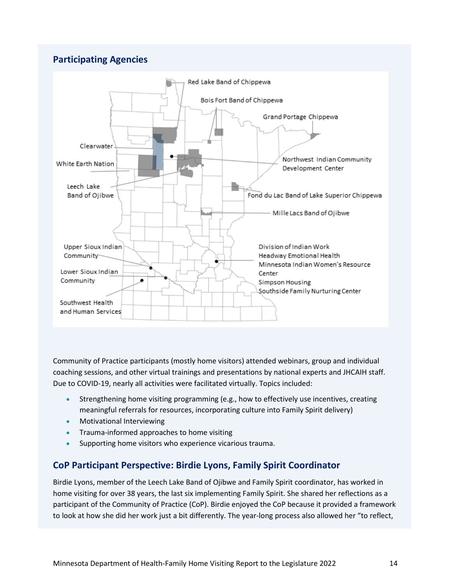#### **Participating Agencies**



Community of Practice participants (mostly home visitors) attended webinars, group and individual coaching sessions, and other virtual trainings and presentations by national experts and JHCAIH staff. Due to COVID-19, nearly all activities were facilitated virtually. Topics included:

- Strengthening home visiting programming (e.g., how to effectively use incentives, creating meaningful referrals for resources, incorporating culture into Family Spirit delivery)
- Motivational Interviewing
- Trauma-informed approaches to home visiting
- Supporting home visitors who experience vicarious trauma.

#### **CoP Participant Perspective: Birdie Lyons, Family Spirit Coordinator**

Birdie Lyons, member of the Leech Lake Band of Ojibwe and Family Spirit coordinator, has worked in home visiting for over 38 years, the last six implementing Family Spirit. She shared her reflections as a participant of the Community of Practice (CoP). Birdie enjoyed the CoP because it provided a framework to look at how she did her work just a bit differently. The year-long process also allowed her "to reflect,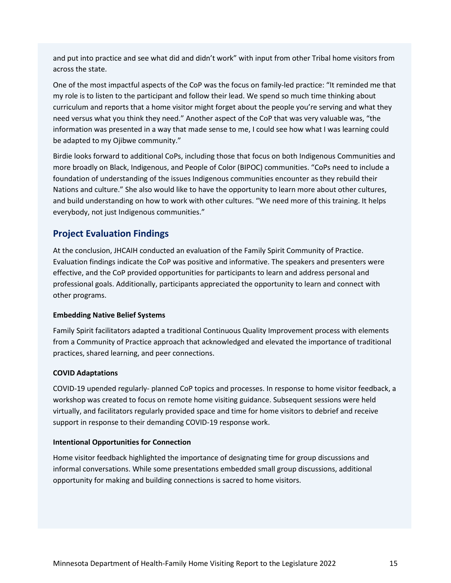and put into practice and see what did and didn't work" with input from other Tribal home visitors from across the state.

One of the most impactful aspects of the CoP was the focus on family-led practice: "It reminded me that my role is to listen to the participant and follow their lead. We spend so much time thinking about curriculum and reports that a home visitor might forget about the people you're serving and what they need versus what you think they need." Another aspect of the CoP that was very valuable was, "the information was presented in a way that made sense to me, I could see how what I was learning could be adapted to my Ojibwe community."

Birdie looks forward to additional CoPs, including those that focus on both Indigenous Communities and more broadly on Black, Indigenous, and People of Color (BIPOC) communities. "CoPs need to include a foundation of understanding of the issues Indigenous communities encounter as they rebuild their Nations and culture." She also would like to have the opportunity to learn more about other cultures, and build understanding on how to work with other cultures. "We need more of this training. It helps everybody, not just Indigenous communities."

### **Project Evaluation Findings**

At the conclusion, JHCAIH conducted an evaluation of the Family Spirit Community of Practice. Evaluation findings indicate the CoP was positive and informative. The speakers and presenters were effective, and the CoP provided opportunities for participants to learn and address personal and professional goals. Additionally, participants appreciated the opportunity to learn and connect with other programs.

#### **Embedding Native Belief Systems**

Family Spirit facilitators adapted a traditional Continuous Quality Improvement process with elements from a Community of Practice approach that acknowledged and elevated the importance of traditional practices, shared learning, and peer connections.

#### **COVID Adaptations**

COVID-19 upended regularly- planned CoP topics and processes. In response to home visitor feedback, a workshop was created to focus on remote home visiting guidance. Subsequent sessions were held virtually, and facilitators regularly provided space and time for home visitors to debrief and receive support in response to their demanding COVID-19 response work.

#### **Intentional Opportunities for Connection**

Home visitor feedback highlighted the importance of designating time for group discussions and informal conversations. While some presentations embedded small group discussions, additional opportunity for making and building connections is sacred to home visitors.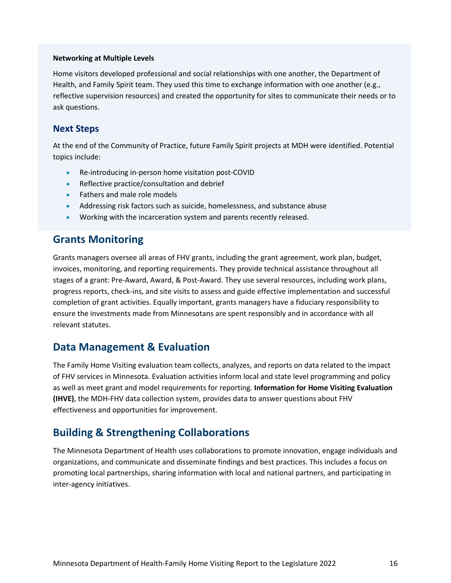#### **Networking at Multiple Levels**

Home visitors developed professional and social relationships with one another, the Department of Health, and Family Spirit team. They used this time to exchange information with one another (e.g., reflective supervision resources) and created the opportunity for sites to communicate their needs or to ask questions.

#### **Next Steps**

At the end of the Community of Practice, future Family Spirit projects at MDH were identified. Potential topics include:

- Re-introducing in-person home visitation post-COVID
- Reflective practice/consultation and debrief
- Fathers and male role models
- Addressing risk factors such as suicide, homelessness, and substance abuse
- Working with the incarceration system and parents recently released.

## <span id="page-15-0"></span>**Grants Monitoring**

Grants managers oversee all areas of FHV grants, including the grant agreement, work plan, budget, invoices, monitoring, and reporting requirements. They provide technical assistance throughout all stages of a grant: Pre-Award, Award, & Post-Award. They use several resources, including work plans, progress reports, check-ins, and site visits to assess and guide effective implementation and successful completion of grant activities. Equally important, grants managers have a fiduciary responsibility to ensure the investments made from Minnesotans are spent responsibly and in accordance with all relevant statutes.

## <span id="page-15-1"></span>**Data Management & Evaluation**

The Family Home Visiting evaluation team collects, analyzes, and reports on data related to the impact of FHV services in Minnesota. Evaluation activities inform local and state level programming and policy as well as meet grant and model requirements for reporting. **Information for Home Visiting Evaluation (IHVE)**, the MDH-FHV data collection system, provides data to answer questions about FHV effectiveness and opportunities for improvement.

## <span id="page-15-2"></span>**Building & Strengthening Collaborations**

The Minnesota Department of Health uses collaborations to promote innovation, engage individuals and organizations, and communicate and disseminate findings and best practices. This includes a focus on promoting local partnerships, sharing information with local and national partners, and participating in inter-agency initiatives.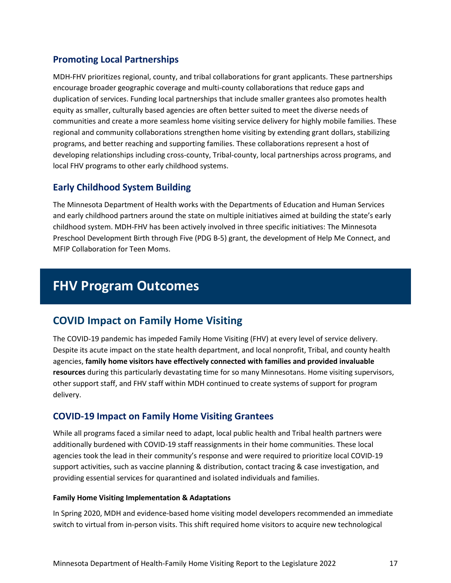### **Promoting Local Partnerships**

MDH-FHV prioritizes regional, county, and tribal collaborations for grant applicants. These partnerships encourage broader geographic coverage and multi-county collaborations that reduce gaps and duplication of services. Funding local partnerships that include smaller grantees also promotes health equity as smaller, culturally based agencies are often better suited to meet the diverse needs of communities and create a more seamless home visiting service delivery for highly mobile families. These regional and community collaborations strengthen home visiting by extending grant dollars, stabilizing programs, and better reaching and supporting families. These collaborations represent a host of developing relationships including cross-county, Tribal-county, local partnerships across programs, and local FHV programs to other early childhood systems.

### **Early Childhood System Building**

The Minnesota Department of Health works with the Departments of Education and Human Services and early childhood partners around the state on multiple initiatives aimed at building the state's early childhood system. MDH-FHV has been actively involved in three specific initiatives: The Minnesota Preschool Development Birth through Five (PDG B-5) grant, the development of Help Me Connect, and MFIP Collaboration for Teen Moms.

# <span id="page-16-0"></span>**FHV Program Outcomes**

## <span id="page-16-1"></span>**COVID Impact on Family Home Visiting**

The COVID-19 pandemic has impeded Family Home Visiting (FHV) at every level of service delivery. Despite its acute impact on the state health department, and local nonprofit, Tribal, and county health agencies, **family home visitors have effectively connected with families and provided invaluable resources** during this particularly devastating time for so many Minnesotans. Home visiting supervisors, other support staff, and FHV staff within MDH continued to create systems of support for program delivery.

#### **COVID-19 Impact on Family Home Visiting Grantees**

While all programs faced a similar need to adapt, local public health and Tribal health partners were additionally burdened with COVID-19 staff reassignments in their home communities. These local agencies took the lead in their community's response and were required to prioritize local COVID-19 support activities, such as vaccine planning & distribution, contact tracing & case investigation, and providing essential services for quarantined and isolated individuals and families.

#### **Family Home Visiting Implementation & Adaptations**

In Spring 2020, MDH and evidence-based home visiting model developers recommended an immediate switch to virtual from in-person visits. This shift required home visitors to acquire new technological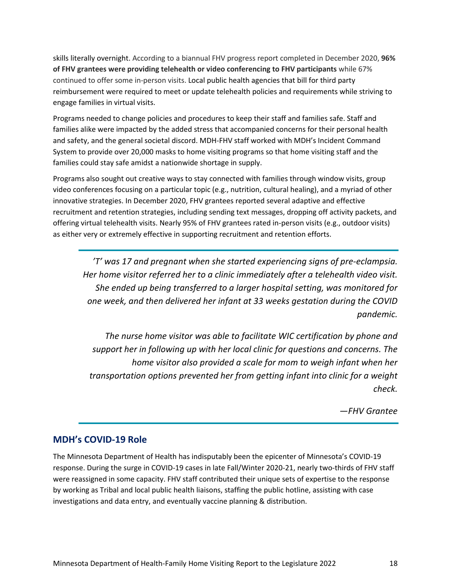skills literally overnight. According to a biannual FHV progress report completed in December 2020, **96% of FHV grantees were providing telehealth or video conferencing to FHV participants** while 67% continued to offer some in-person visits. Local public health agencies that bill for third party reimbursement were required to meet or update telehealth policies and requirements while striving to engage families in virtual visits.

Programs needed to change policies and procedures to keep their staff and families safe. Staff and families alike were impacted by the added stress that accompanied concerns for their personal health and safety, and the general societal discord. MDH-FHV staff worked with MDH's Incident Command System to provide over 20,000 masks to home visiting programs so that home visiting staff and the families could stay safe amidst a nationwide shortage in supply.

Programs also sought out creative ways to stay connected with families through window visits, group video conferences focusing on a particular topic (e.g., nutrition, cultural healing), and a myriad of other innovative strategies. In December 2020, FHV grantees reported several adaptive and effective recruitment and retention strategies, including sending text messages, dropping off activity packets, and offering virtual telehealth visits. Nearly 95% of FHV grantees rated in-person visits (e.g., outdoor visits) as either very or extremely effective in supporting recruitment and retention efforts.

*'T' was 17 and pregnant when she started experiencing signs of pre-eclampsia. Her home visitor referred her to a clinic immediately after a telehealth video visit. She ended up being transferred to a larger hospital setting, was monitored for one week, and then delivered her infant at 33 weeks gestation during the COVID pandemic.*

*The nurse home visitor was able to facilitate WIC certification by phone and support her in following up with her local clinic for questions and concerns. The home visitor also provided a scale for mom to weigh infant when her transportation options prevented her from getting infant into clinic for a weight check.*

*—FHV Grantee*

#### **MDH's COVID-19 Role**

The Minnesota Department of Health has indisputably been the epicenter of Minnesota's COVID-19 response. During the surge in COVID-19 cases in late Fall/Winter 2020-21, nearly two-thirds of FHV staff were reassigned in some capacity. FHV staff contributed their unique sets of expertise to the response by working as Tribal and local public health liaisons, staffing the public hotline, assisting with case investigations and data entry, and eventually vaccine planning & distribution.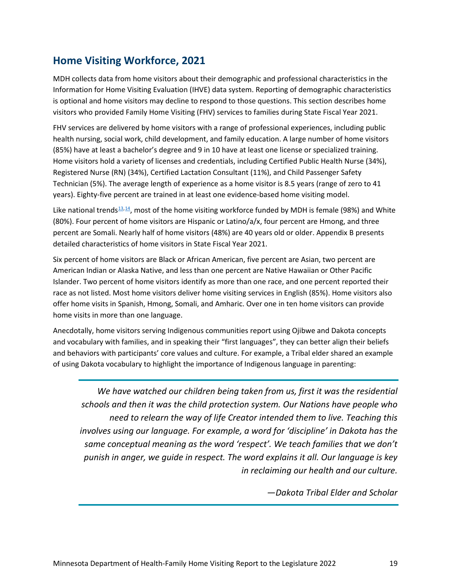## <span id="page-18-0"></span>**Home Visiting Workforce, 2021**

MDH collects data from home visitors about their demographic and professional characteristics in the Information for Home Visiting Evaluation (IHVE) data system. Reporting of demographic characteristics is optional and home visitors may decline to respond to those questions. This section describes home visitors who provided Family Home Visiting (FHV) services to families during State Fiscal Year 2021.

FHV services are delivered by home visitors with a range of professional experiences, including public health nursing, social work, child development, and family education. A large number of home visitors (85%) have at least a bachelor's degree and 9 in 10 have at least one license or specialized training. Home visitors hold a variety of licenses and credentials, including Certified Public Health Nurse (34%), Registered Nurse (RN) (34%), Certified Lactation Consultant (11%), and Child Passenger Safety Technician (5%). The average length of experience as a home visitor is 8.5 years (range of zero to 41 years). Eighty-five percent are trained in at least one evidence-based home visiting model.

Like national trends $\frac{13,14}{2}$ , most of the home visiting workforce funded by MDH is female (98%) and White (80%). Four percent of home visitors are Hispanic or Latino/a/x, four percent are Hmong, and three percent are Somali. Nearly half of home visitors (48%) are 40 years old or older. Appendix B presents detailed characteristics of home visitors in State Fiscal Year 2021.

Six percent of home visitors are Black or African American, five percent are Asian, two percent are American Indian or Alaska Native, and less than one percent are Native Hawaiian or Other Pacific Islander. Two percent of home visitors identify as more than one race, and one percent reported their race as not listed. Most home visitors deliver home visiting services in English (85%). Home visitors also offer home visits in Spanish, Hmong, Somali, and Amharic. Over one in ten home visitors can provide home visits in more than one language.

Anecdotally, home visitors serving Indigenous communities report using Ojibwe and Dakota concepts and vocabulary with families, and in speaking their "first languages", they can better align their beliefs and behaviors with participants' core values and culture. For example, a Tribal elder shared an example of using Dakota vocabulary to highlight the importance of Indigenous language in parenting:

We have watched our children being taken from us, first it was the residential *schools and then it was the child protection system. Our Nations have people who need to relearn the way of life Creator intended them to live. Teaching this involves using our language. For example, a word for 'discipline' in Dakota has the same conceptual meaning as the word 'respect'. We teach families that we don't punish in anger, we guide in respect. The word explains it all. Our language is key in reclaiming our health and our culture.*

*—Dakota Tribal Elder and Scholar*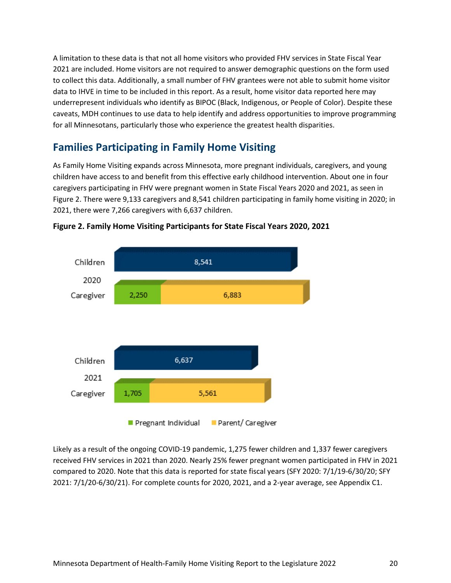A limitation to these data is that not all home visitors who provided FHV services in State Fiscal Year 2021 are included. Home visitors are not required to answer demographic questions on the form used to collect this data. Additionally, a small number of FHV grantees were not able to submit home visitor data to IHVE in time to be included in this report. As a result, home visitor data reported here may underrepresent individuals who identify as BIPOC (Black, Indigenous, or People of Color). Despite these caveats, MDH continues to use data to help identify and address opportunities to improve programming for all Minnesotans, particularly those who experience the greatest health disparities.

## <span id="page-19-0"></span>**Families Participating in Family Home Visiting**

As Family Home Visiting expands across Minnesota, more pregnant individuals, caregivers, and young children have access to and benefit from this effective early childhood intervention. About one in four caregivers participating in FHV were pregnant women in State Fiscal Years 2020 and 2021, as seen in Figure 2. There were 9,133 caregivers and 8,541 children participating in family home visiting in 2020; in 2021, there were 7,266 caregivers with 6,637 children.





Likely as a result of the ongoing COVID-19 pandemic, 1,275 fewer children and 1,337 fewer caregivers received FHV services in 2021 than 2020. Nearly 25% fewer pregnant women participated in FHV in 2021 compared to 2020. Note that this data is reported for state fiscal years (SFY 2020: 7/1/19-6/30/20; SFY 2021: 7/1/20-6/30/21). For complete counts for 2020, 2021, and a 2-year average, see Appendix C1.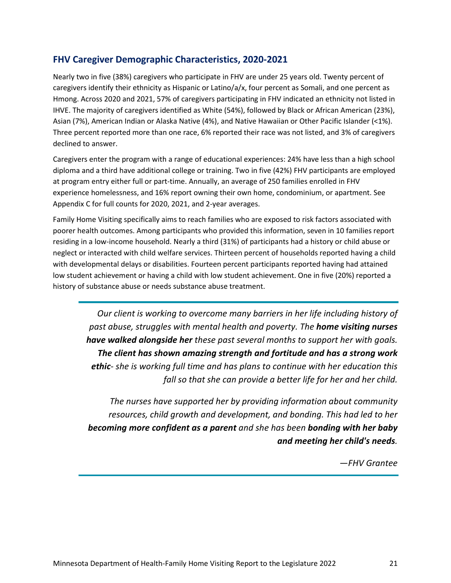#### **FHV Caregiver Demographic Characteristics, 2020-2021**

Nearly two in five (38%) caregivers who participate in FHV are under 25 years old. Twenty percent of caregivers identify their ethnicity as Hispanic or Latino/a/x, four percent as Somali, and one percent as Hmong. Across 2020 and 2021, 57% of caregivers participating in FHV indicated an ethnicity not listed in IHVE. The majority of caregivers identified as White (54%), followed by Black or African American (23%), Asian (7%), American Indian or Alaska Native (4%), and Native Hawaiian or Other Pacific Islander (<1%). Three percent reported more than one race, 6% reported their race was not listed, and 3% of caregivers declined to answer.

Caregivers enter the program with a range of educational experiences: 24% have less than a high school diploma and a third have additional college or training. Two in five (42%) FHV participants are employed at program entry either full or part-time. Annually, an average of 250 families enrolled in FHV experience homelessness, and 16% report owning their own home, condominium, or apartment. See Appendix C for full counts for 2020, 2021, and 2-year averages.

Family Home Visiting specifically aims to reach families who are exposed to risk factors associated with poorer health outcomes. Among participants who provided this information, seven in 10 families report residing in a low-income household. Nearly a third (31%) of participants had a history or child abuse or neglect or interacted with child welfare services. Thirteen percent of households reported having a child with developmental delays or disabilities. Fourteen percent participants reported having had attained low student achievement or having a child with low student achievement. One in five (20%) reported a history of substance abuse or needs substance abuse treatment.

*Our client is working to overcome many barriers in her life including history of past abuse, struggles with mental health and poverty. The home visiting nurses have walked alongside her these past several months to support her with goals. The client has shown amazing strength and fortitude and has a strong work ethic- she is working full time and has plans to continue with her education this fall so that she can provide a better life for her and her child.*

*The nurses have supported her by providing information about community resources, child growth and development, and bonding. This had led to her becoming more confident as a parent and she has been bonding with her baby and meeting her child's needs.* 

*—FHV Grantee*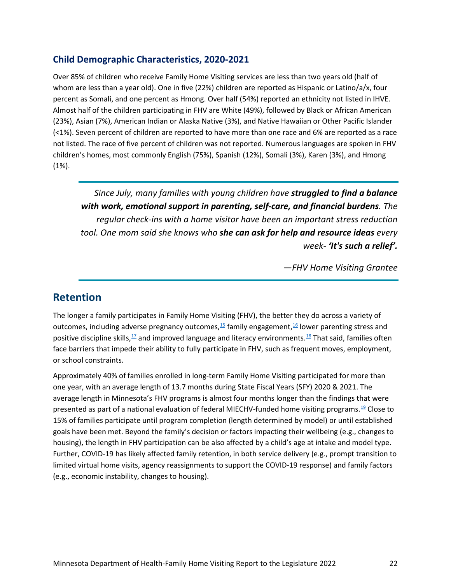#### **Child Demographic Characteristics, 2020-2021**

Over 85% of children who receive Family Home Visiting services are less than two years old (half of whom are less than a year old). One in five (22%) children are reported as Hispanic or Latino/a/x, four percent as Somali, and one percent as Hmong. Over half (54%) reported an ethnicity not listed in IHVE. Almost half of the children participating in FHV are White (49%), followed by Black or African American (23%), Asian (7%), American Indian or Alaska Native (3%), and Native Hawaiian or Other Pacific Islander (<1%). Seven percent of children are reported to have more than one race and 6% are reported as a race not listed. The race of five percent of children was not reported. Numerous languages are spoken in FHV children's homes, most commonly English (75%), Spanish (12%), Somali (3%), Karen (3%), and Hmong (1%).

*Since July, many families with young children have struggled to find a balance with work, emotional support in parenting, self-care, and financial burdens. The regular check-ins with a home visitor have been an important stress reduction tool. One mom said she knows who she can ask for help and resource ideas every week- 'It's such a relief'.*

*—FHV Home Visiting Grantee*

## <span id="page-21-0"></span>**Retention**

The longer a family participates in Family Home Visiting (FHV), the better they do across a variety of outcomes[,](https://www.isbe.net/Documents/Hughes-Belding-2019-Infant-Mental-Health-Journal.pdf) including adverse pregnancy outcomes,<sup>[15](https://publications.aap.org/pediatrics/article/132/Supplement_2/S118/32152/Dosage-Effect-of-Prenatal-Home-Visiting-on)</sup> family engagement,<sup>[16](https://www.isbe.net/Documents/Hughes-Belding-2019-Infant-Mental-Health-Journal.pdf)</sup> lower parenting stress and positive discipline skills[,](https://www.ncbi.nlm.nih.gov/pmc/articles/PMC6153727/)<sup>[17](https://www.ncbi.nlm.nih.gov/pmc/articles/PMC6153727/)</sup> and improved language and literacy environments.<sup>18</sup> That said, families often face barriers that impede their ability to fully participate in FHV, such as frequent moves, employment, or school constraints.

Approximately 40% of families enrolled in long-term Family Home Visiting participated for more than one year, with an average length of 13.7 months during State Fiscal Years (SFY) 2020 & 2021. The average length in Minnesota's FHV programs is almost four months longer than the findings that were presented as part of a national evaluation of federal MIECHV-funded home visiting programs[.19](https://www.acf.hhs.gov/sites/default/files/documents/opre/mihope_implementation_report_2018_10_26_508b.pdf) Close to 15% of families participate until program completion (length determined by model) or until established goals have been met. Beyond the family's decision or factors impacting their wellbeing (e.g., changes to housing), the length in FHV participation can be also affected by a child's age at intake and model type. Further, COVID-19 has likely affected family retention, in both service delivery (e.g., prompt transition to limited virtual home visits, agency reassignments to support the COVID-19 response) and family factors (e.g., economic instability, changes to housing).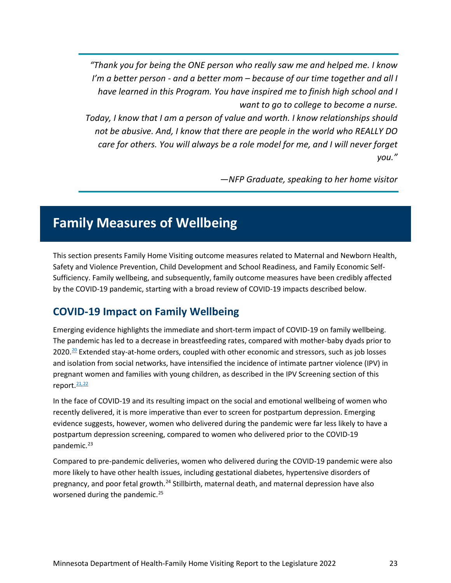*"Thank you for being the ONE person who really saw me and helped me. I know I'm a better person - and a better mom – because of our time together and all I have learned in this Program. You have inspired me to finish high school and I want to go to college to become a nurse.* 

*Today, I know that I am a person of value and worth. I know relationships should not be abusive. And, I know that there are people in the world who REALLY DO care for others. You will always be a role model for me, and I will never forget you."*

*—NFP Graduate, speaking to her home visitor*

# <span id="page-22-0"></span>**Family Measures of Wellbeing**

This section presents Family Home Visiting outcome measures related to Maternal and Newborn Health, Safety and Violence Prevention, Child Development and School Readiness, and Family Economic Self-Sufficiency. Family wellbeing, and subsequently, family outcome measures have been credibly affected by the COVID-19 pandemic, starting with a broad review of COVID-19 impacts described below.

## <span id="page-22-1"></span>**COVID-19 Impact on Family Wellbeing**

Emerging evidence highlights the immediate and short-term impact of COVID-19 on family wellbeing. The pandemic has led to a decrease in breastfeeding rates, compared with mother-baby dyads prior to  $2020$ .<sup>20</sup> Extended stay-at-home orders, coupled with other economic and stressors, such as job losses and isolation from social networks, have intensified the incidence of intimate partner violence (IPV) in pregnant women and families with young children, as described in the IPV Screening section of this report. [21,](https://doi.org/10.1016/j.ajem.2020.04.077)[22](https://journals.sagepub.com/doi/10.1177/0002764221992826)

In the face of COVID-19 and its resulting impact on the social and emotional wellbeing of women who recently delivered, it is more imperative than ever to screen for postpartum depression. Emerging evidence suggests, however, women who delivered during the pandemic were far less likely to have a postpartum depression screening, compared to women who delivered prior to the COVID-19 pandemic. [23](#page-51-5)

Compared to pre-pandemic deliveries, women who delivered during the COVID-19 pandemic were also more likely to have other health issues, including gestational diabetes, hypertensive disorders of pregnancy, and poor fetal growth.<sup>[24](#page-51-6)</sup> Stillbirth, maternal death, and maternal depression have also worsened during the pandemic.<sup>[25](#page-51-7)</sup>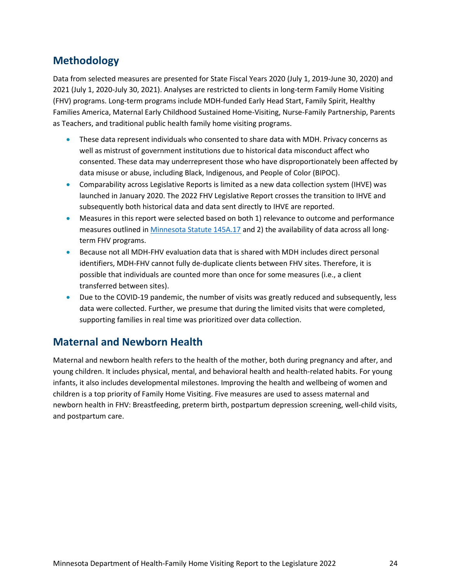## <span id="page-23-0"></span>**Methodology**

Data from selected measures are presented for State Fiscal Years 2020 (July 1, 2019-June 30, 2020) and 2021 (July 1, 2020-July 30, 2021). Analyses are restricted to clients in long-term Family Home Visiting (FHV) programs. Long-term programs include MDH-funded Early Head Start, Family Spirit, Healthy Families America, Maternal Early Childhood Sustained Home-Visiting, Nurse-Family Partnership, Parents as Teachers, and traditional public health family home visiting programs.

- These data represent individuals who consented to share data with MDH. Privacy concerns as well as mistrust of government institutions due to historical data misconduct affect who consented. These data may underrepresent those who have disproportionately been affected by data misuse or abuse, including Black, Indigenous, and People of Color (BIPOC).
- Comparability across Legislative Reports is limited as a new data collection system (IHVE) was launched in January 2020. The 2022 FHV Legislative Report crosses the transition to IHVE and subsequently both historical data and data sent directly to IHVE are reported.
- Measures in this report were selected based on both 1) relevance to outcome and performance measures outlined in [Minnesota Statute 145A.17](https://www.revisor.mn.gov/statutes/cite/145A.17) and 2) the availability of data across all longterm FHV programs.
- Because not all MDH-FHV evaluation data that is shared with MDH includes direct personal identifiers, MDH-FHV cannot fully de-duplicate clients between FHV sites. Therefore, it is possible that individuals are counted more than once for some measures (i.e., a client transferred between sites).
- Due to the COVID-19 pandemic, the number of visits was greatly reduced and subsequently, less data were collected. Further, we presume that during the limited visits that were completed, supporting families in real time was prioritized over data collection.

## <span id="page-23-1"></span>**Maternal and Newborn Health**

Maternal and newborn health refers to the health of the mother, both during pregnancy and after, and young children. It includes physical, mental, and behavioral health and health-related habits. For young infants, it also includes developmental milestones. Improving the health and wellbeing of women and children is a top priority of Family Home Visiting. Five measures are used to assess maternal and newborn health in FHV: Breastfeeding, preterm birth, postpartum depression screening, well-child visits, and postpartum care.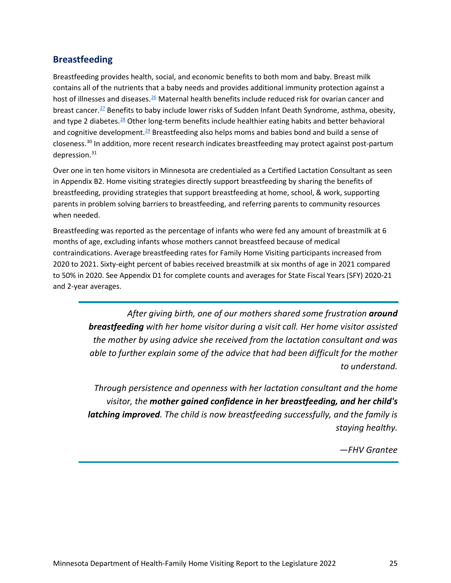#### **Breastfeeding**

Breastfeeding provides health, social, and economic benefits to both mom and baby. Breast milk contains all of the nutrients that a baby needs and provides additional immunity protection against a host of illnesses and diseases.<sup>26</sup> Maternal health benefits include reduced risk for ovarian cancer and breast cancer.<sup>27</sup> Benefits to baby include lower risks of Sudden Infant Death Syndrome, asthma, obesity, and type 2 diabetes[.](https://pediatrics.aappublications.org/content/129/3/e827)<sup>[28](https://pediatrics.aappublications.org/content/129/3/e827)</sup> Other long-term benefits include healthier eating habits and better behavioral and cognitive development.<sup>29</sup> Breastfeeding also helps moms and babies bond and build a sense of closeness.[30](#page-51-12) In addition, more recent research indicates breastfeeding may protect against post-partum depression.<sup>[31](#page-51-13)</sup>

Over one in ten home visitors in Minnesota are credentialed as a Certified Lactation Consultant as seen in Appendix B2. Home visiting strategies directly support breastfeeding by sharing the benefits of breastfeeding, providing strategies that support breastfeeding at home, school, & work, supporting parents in problem solving barriers to breastfeeding, and referring parents to community resources when needed.

Breastfeeding was reported as the percentage of infants who were fed any amount of breastmilk at 6 months of age, excluding infants whose mothers cannot breastfeed because of medical contraindications. Average breastfeeding rates for Family Home Visiting participants increased from 2020 to 2021. Sixty-eight percent of babies received breastmilk at six months of age in 2021 compared to 50% in 2020. See Appendix D1 for complete counts and averages for State Fiscal Years (SFY) 2020-21 and 2-year averages.

> *After giving birth, one of our mothers shared some frustration around breastfeeding with her home visitor during a visit call. Her home visitor assisted the mother by using advice she received from the lactation consultant and was able to further explain some of the advice that had been difficult for the mother to understand.*

> *Through persistence and openness with her lactation consultant and the home visitor, the mother gained confidence in her breastfeeding, and her child's latching improved. The child is now breastfeeding successfully, and the family is staying healthy.*

> > *—FHV Grantee*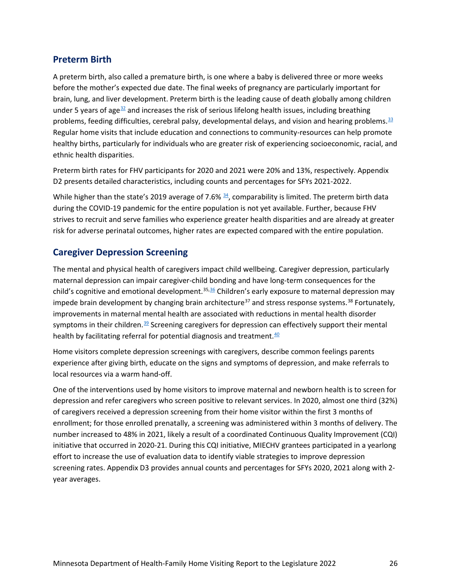#### **Preterm Birth**

A preterm birth, also called a premature birth, is one where a baby is delivered three or more weeks before the mother's expected due date. The final weeks of pregnancy are particularly important for brain, lung, and liver development. Preterm birth is the leading cause of death globally among children under 5 years of age<sup>32</sup> and increases the risk of serious lifelong health issues, including breathing problems, feeding difficulties, cerebral palsy, developmental delays, and vision and hearing problems. $33$ Regular home visits that include education and connections to community-resources can help promote healthy births, particularly for individuals who are greater risk of experiencing socioeconomic, racial, and ethnic health disparities.

Preterm birth rates for FHV participants for 2020 and 2021 were 20% and 13%, respectively. Appendix D2 presents detailed characteristics, including counts and percentages for SFYs 2021-2022.

While higher than the state's 2019 average of 7.6%  $\frac{34}{2}$ , comparability is limited. The preterm birth data during the COVID-19 pandemic for the entire population is not yet available. Further, because FHV strives to recruit and serve families who experience greater health disparities and are already at greater risk for adverse perinatal outcomes, higher rates are expected compared with the entire population.

#### **Caregiver Depression Screening**

The mental and physical health of caregivers impact child wellbeing. Caregiver depression, particularly maternal depression can impair caregiver-child bonding and have long-term consequences for the child's cognitive and emotional development.<sup>[35](#page-52-1)[,36](http://dx.doi.org/10.1136/adc.77.2.99)</sup> Children's early exposure to maternal depression may impede brain development by changing brain architecture<sup>[37](#page-52-3)</sup> and stress response systems.<sup>[38](#page-52-4)</sup> Fortunately, improvements in maternal mental health are associated with reductions in mental health disorder symptoms in their children.<sup>39</sup> Screening caregivers for depression can effectively support their mental health by facilitating referral for potential diagnosis and treatment. $40$ 

Home visitors complete depression screenings with caregivers, describe common feelings parents experience after giving birth, educate on the signs and symptoms of depression, and make referrals to local resources via a warm hand-off.

One of the interventions used by home visitors to improve maternal and newborn health is to screen for depression and refer caregivers who screen positive to relevant services. In 2020, almost one third (32%) of caregivers received a depression screening from their home visitor within the first 3 months of enrollment; for those enrolled prenatally, a screening was administered within 3 months of delivery. The number increased to 48% in 2021, likely a result of a coordinated Continuous Quality Improvement (CQI) initiative that occurred in 2020-21. During this CQI initiative, MIECHV grantees participated in a yearlong effort to increase the use of evaluation data to identify viable strategies to improve depression screening rates. Appendix D3 provides annual counts and percentages for SFYs 2020, 2021 along with 2 year averages.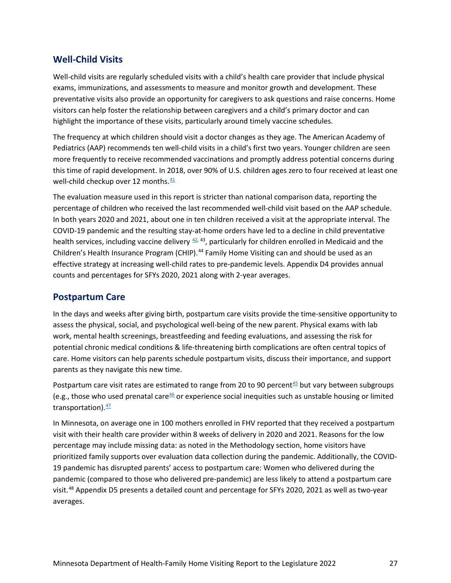### **Well-Child Visits**

Well-child visits are regularly scheduled visits with a child's health care provider that include physical exams, immunizations, and assessments to measure and monitor growth and development. These preventative visits also provide an opportunity for caregivers to ask questions and raise concerns. Home visitors can help foster the relationship between caregivers and a child's primary doctor and can highlight the importance of these visits, particularly around timely vaccine schedules.

The frequency at which children should visit a doctor changes as they age. The American Academy of Pediatrics (AAP) recommends ten well-child visits in a child's first two years. Younger children are seen more frequently to receive recommended vaccinations and promptly address potential concerns during this time of rapid development. In 2018, over 90% of U.S. children ages zero to four received at least one well-child checkup over 12 months[.](https://www.cdc.gov/mmwr/volumes/69/wr/mm6908a5.htm?s_cid=mm6908a5_w)  $41$ 

The evaluation measure used in this report is stricter than national comparison data, reporting the percentage of children who received the last recommended well-child visit based on the AAP schedule. In both years 2020 and 2021, about one in ten children received a visit at the appropriate interval. The COVID-19 pandemic and the resulting stay-at-home orders have led to a decline in child preventative health services, including vaccine delivery  $42$ ,  $43$ , particularly for children enrolled in Medicaid and the Children's Health Insurance Program (CHIP).<sup>[44](#page-52-10)</sup> Family Home Visiting can and should be used as an effective strategy at increasing well-child rates to pre-pandemic levels. Appendix D4 provides annual counts and percentages for SFYs 2020, 2021 along with 2-year averages.

#### **Postpartum Care**

In the days and weeks after giving birth, postpartum care visits provide the time-sensitive opportunity to assess the physical, social, and psychological well-being of the new parent. Physical exams with lab work, mental health screenings, breastfeeding and feeding evaluations, and assessing the risk for potential chronic medical conditions & life-threatening birth complications are often central topics of care. Home visitors can help parents schedule postpartum visits, discuss their importance, and support parents as they navigate this new time.

Postpartum care visit rates are estimated to range from 20 to 90 percent $45$  but vary between subgroups (e.g., those who used prenatal care $46$  or experience social inequities such as unstable housing or limited transportation)[.](https://doi.org/10.1007/s10995-006-0128-5)  $\frac{47}{3}$  $\frac{47}{3}$  $\frac{47}{3}$ 

In Minnesota, on average one in 100 mothers enrolled in FHV reported that they received a postpartum visit with their health care provider within 8 weeks of delivery in 2020 and 2021. Reasons for the low percentage may include missing data: as noted in the Methodology section, home visitors have prioritized family supports over evaluation data collection during the pandemic. Additionally, the COVID-19 pandemic has disrupted parents' access to postpartum care: Women who delivered during the pandemic (compared to those who delivered pre-pandemic) are less likely to attend a postpartum care visit.<sup>[48](#page-52-14)</sup> Appendix D5 presents a detailed count and percentage for SFYs 2020, 2021 as well as two-year averages.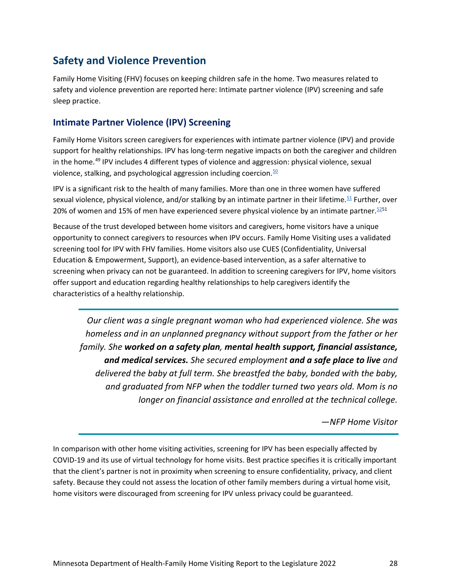## <span id="page-27-0"></span>**Safety and Violence Prevention**

Family Home Visiting (FHV) focuses on keeping children safe in the home. Two measures related to safety and violence prevention are reported here: Intimate partner violence (IPV) screening and safe sleep practice.

### **Intimate Partner Violence (IPV) Screening**

Family Home Visitors screen caregivers for experiences with intimate partner violence (IPV) and provide support for healthy relationships. IPV has long-term negative impacts on both the caregiver and children in the home.<sup>[49](#page-52-15)</sup> IPV includes 4 different types of violence and aggression: physical violence, sexual violence, stalking, and psychological aggression including coercion. $50$ 

IPV is a significant risk to the health of many families. More than one in three women have suffered sexual violence, physical violence, and/or stalking by an intimate partner in their lifetime[.](https://www.cdc.gov/violenceprevention/pdf/2015data-brief508.pdf)<sup>[51](https://www.cdc.gov/violenceprevention/pdf/2015data-brief508.pdf)</sup> Further, over 20% of women and 15% of men have experienced severe physical violence by an intimate partner.  $5251$  $5251$ 

Because of the trust developed between home visitors and caregivers, home visitors have a unique opportunity to connect caregivers to resources when IPV occurs. Family Home Visiting uses a validated screening tool for IPV with FHV families. Home visitors also use CUES (Confidentiality, Universal Education & Empowerment, Support), an evidence-based intervention, as a safer alternative to screening when privacy can not be guaranteed. In addition to screening caregivers for IPV, home visitors offer support and education regarding healthy relationships to help caregivers identify the characteristics of a healthy relationship.

*Our client was a single pregnant woman who had experienced violence. She was homeless and in an unplanned pregnancy without support from the father or her family. She worked on a safety plan, mental health support, financial assistance, and medical services. She secured employment and a safe place to live and delivered the baby at full term. She breastfed the baby, bonded with the baby, and graduated from NFP when the toddler turned two years old. Mom is no longer on financial assistance and enrolled at the technical college.*

<span id="page-27-1"></span>*—NFP Home Visitor*

In comparison with other home visiting activities, screening for IPV has been especially affected by COVID-19 and its use of virtual technology for home visits. Best practice specifies it is critically important that the client's partner is not in proximity when screening to ensure confidentiality, privacy, and client safety. Because they could not assess the location of other family members during a virtual home visit, home visitors were discouraged from screening for IPV unless privacy could be guaranteed.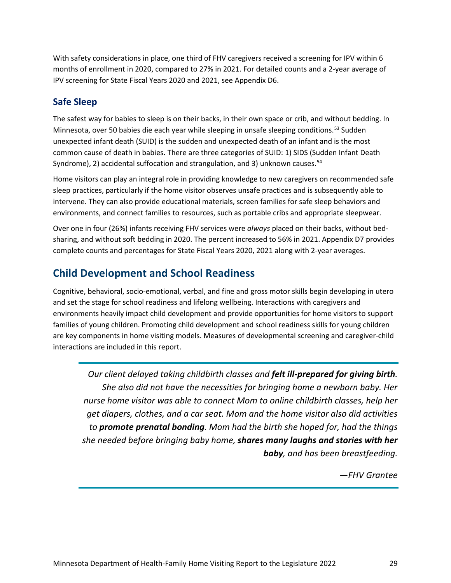With safety considerations in place, one third of FHV caregivers received a screening for IPV within 6 months of enrollment in 2020, compared to 27% in 2021. For detailed counts and a 2-year average of IPV screening for State Fiscal Years 2020 and 2021, see Appendix D6.

## **Safe Sleep**

The safest way for babies to sleep is on their backs, in their own space or crib, and without bedding. In Minnesota, over 50 babies die each year while sleeping in unsafe sleeping conditions.<sup>[53](#page-53-3)</sup> Sudden unexpected infant death (SUID) is the sudden and unexpected death of an infant and is the most common cause of death in babies. There are three categories of SUID: 1) SIDS (Sudden Infant Death Syndrome), 2) accidental suffocation and strangulation, and 3) unknown causes.<sup>[54](#page-53-4)</sup>

Home visitors can play an integral role in providing knowledge to new caregivers on recommended safe sleep practices, particularly if the home visitor observes unsafe practices and is subsequently able to intervene. They can also provide educational materials, screen families for safe sleep behaviors and environments, and connect families to resources, such as portable cribs and appropriate sleepwear.

Over one in four (26%) infants receiving FHV services were *always* placed on their backs, without bedsharing, and without soft bedding in 2020. The percent increased to 56% in 2021. Appendix D7 provides complete counts and percentages for State Fiscal Years 2020, 2021 along with 2-year averages.

## <span id="page-28-0"></span>**Child Development and School Readiness**

Cognitive, behavioral, socio-emotional, verbal, and fine and gross motor skills begin developing in utero and set the stage for school readiness and lifelong wellbeing. Interactions with caregivers and environments heavily impact child development and provide opportunities for home visitors to support families of young children. Promoting child development and school readiness skills for young children are key components in home visiting models. Measures of developmental screening and caregiver-child interactions are included in this report.

*Our client delayed taking childbirth classes and felt ill-prepared for giving birth. She also did not have the necessities for bringing home a newborn baby. Her nurse home visitor was able to connect Mom to online childbirth classes, help her get diapers, clothes, and a car seat. Mom and the home visitor also did activities to promote prenatal bonding. Mom had the birth she hoped for, had the things she needed before bringing baby home, shares many laughs and stories with her baby, and has been breastfeeding.*

*—FHV Grantee*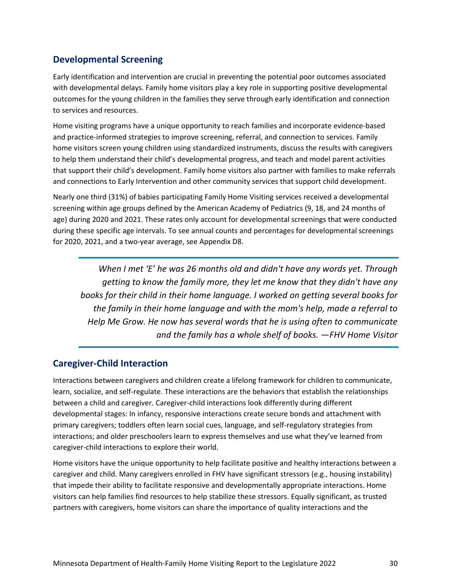## **Developmental Screening**

Early identification and intervention are crucial in preventing the potential poor outcomes associated with developmental delays. Family home visitors play a key role in supporting positive developmental outcomes for the young children in the families they serve through early identification and connection to services and resources.

Home visiting programs have a unique opportunity to reach families and incorporate evidence-based and practice-informed strategies to improve screening, referral, and connection to services. Family home visitors screen young children using standardized instruments, discuss the results with caregivers to help them understand their child's developmental progress, and teach and model parent activities that support their child's development. Family home visitors also partner with families to make referrals and connections to Early Intervention and other community services that support child development.

Nearly one third (31%) of babies participating Family Home Visiting services received a developmental screening within age groups defined by the American Academy of Pediatrics (9, 18, and 24 months of age) during 2020 and 2021. These rates only account for developmental screenings that were conducted during these specific age intervals. To see annual counts and percentages for developmental screenings for 2020, 2021, and a two-year average, see Appendix D8.

*When I met 'E' he was 26 months old and didn't have any words yet. Through getting to know the family more, they let me know that they didn't have any books for their child in their home language. I worked on getting several books for the family in their home language and with the mom's help, made a referral to Help Me Grow. He now has several words that he is using often to communicate and the family has a whole shelf of books. —FHV Home Visitor*

#### **Caregiver-Child Interaction**

Interactions between caregivers and children create a lifelong framework for children to communicate, learn, socialize, and self-regulate. These interactions are the behaviors that establish the relationships between a child and caregiver. Caregiver-child interactions look differently during different developmental stages: In infancy, responsive interactions create secure bonds and attachment with primary caregivers; toddlers often learn social cues, language, and self-regulatory strategies from interactions; and older preschoolers learn to express themselves and use what they've learned from caregiver-child interactions to explore their world.

Home visitors have the unique opportunity to help facilitate positive and healthy interactions between a caregiver and child. Many caregivers enrolled in FHV have significant stressors (e.g., housing instability) that impede their ability to facilitate responsive and developmentally appropriate interactions. Home visitors can help families find resources to help stabilize these stressors. Equally significant, as trusted partners with caregivers, home visitors can share the importance of quality interactions and the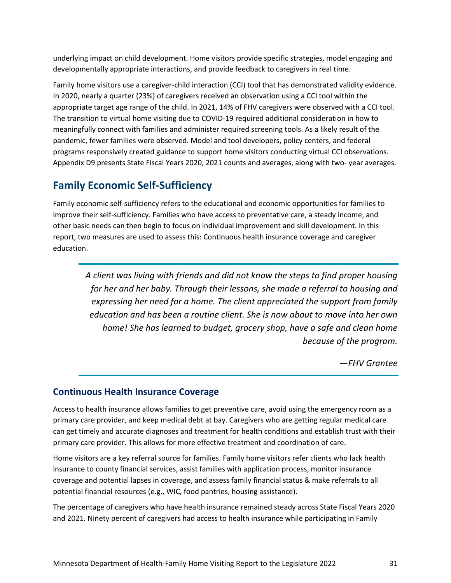underlying impact on child development. Home visitors provide specific strategies, model engaging and developmentally appropriate interactions, and provide feedback to caregivers in real time.

Family home visitors use a caregiver-child interaction (CCI) tool that has demonstrated validity evidence. In 2020, nearly a quarter (23%) of caregivers received an observation using a CCI tool within the appropriate target age range of the child. In 2021, 14% of FHV caregivers were observed with a CCI tool. The transition to virtual home visiting due to COVID-19 required additional consideration in how to meaningfully connect with families and administer required screening tools. As a likely result of the pandemic, fewer families were observed. Model and tool developers, policy centers, and federal programs responsively created guidance to support home visitors conducting virtual CCI observations. Appendix D9 presents State Fiscal Years 2020, 2021 counts and averages, along with two- year averages.

## <span id="page-30-0"></span>**Family Economic Self-Sufficiency**

Family economic self-sufficiency refers to the educational and economic opportunities for families to improve their self-sufficiency. Families who have access to preventative care, a steady income, and other basic needs can then begin to focus on individual improvement and skill development. In this report, two measures are used to assess this: Continuous health insurance coverage and caregiver education.

*A client was living with friends and did not know the steps to find proper housing for her and her baby. Through their lessons, she made a referral to housing and expressing her need for a home. The client appreciated the support from family education and has been a routine client. She is now about to move into her own home! She has learned to budget, grocery shop, have a safe and clean home because of the program.*

*—FHV Grantee*

#### **Continuous Health Insurance Coverage**

Access to health insurance allows families to get preventive care, avoid using the emergency room as a primary care provider, and keep medical debt at bay. Caregivers who are getting regular medical care can get timely and accurate diagnoses and treatment for health conditions and establish trust with their primary care provider. This allows for more effective treatment and coordination of care.

Home visitors are a key referral source for families. Family home visitors refer clients who lack health insurance to county financial services, assist families with application process, monitor insurance coverage and potential lapses in coverage, and assess family financial status & make referrals to all potential financial resources (e.g., WIC, food pantries, housing assistance).

The percentage of caregivers who have health insurance remained steady across State Fiscal Years 2020 and 2021. Ninety percent of caregivers had access to health insurance while participating in Family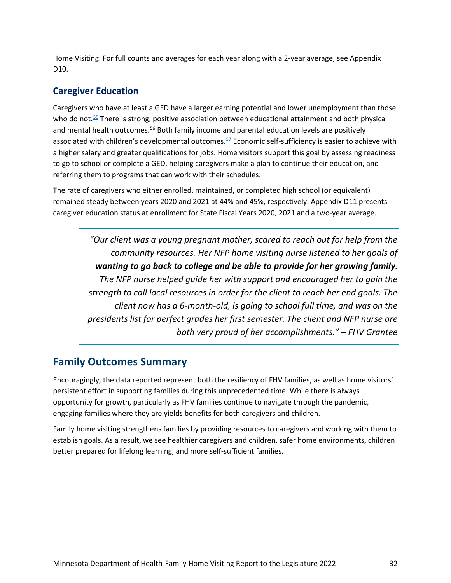Home Visiting. For full counts and averages for each year along with a 2-year average, see Appendix D<sub>10</sub>.

### **Caregiver Education**

Caregivers who have at least a GED have a larger earning potential and lower unemployment than those who do not.<sup>55</sup> There is strong, positive association between educational attainment and both physical and mental health outcomes.<sup>[56](#page-53-6)</sup> Both family income and parental education levels are positively associated with children's developmental outcomes.  $57$  Economic self-sufficiency is easier to achieve with a higher salary and greater qualifications for jobs. Home visitors support this goal by assessing readiness to go to school or complete a GED, helping caregivers make a plan to continue their education, and referring them to programs that can work with their schedules.

The rate of caregivers who either enrolled, maintained, or completed high school (or equivalent) remained steady between years 2020 and 2021 at 44% and 45%, respectively. Appendix D11 presents caregiver education status at enrollment for State Fiscal Years 2020, 2021 and a two-year average.

*"Our client was a young pregnant mother, scared to reach out for help from the community resources. Her NFP home visiting nurse listened to her goals of wanting to go back to college and be able to provide for her growing family. The NFP nurse helped guide her with support and encouraged her to gain the strength to call local resources in order for the client to reach her end goals. The client now has a 6-month-old, is going to school full time, and was on the presidents list for perfect grades her first semester. The client and NFP nurse are both very proud of her accomplishments." – FHV Grantee*

## <span id="page-31-0"></span>**Family Outcomes Summary**

Encouragingly, the data reported represent both the resiliency of FHV families, as well as home visitors' persistent effort in supporting families during this unprecedented time. While there is always opportunity for growth, particularly as FHV families continue to navigate through the pandemic, engaging families where they are yields benefits for both caregivers and children.

Family home visiting strengthens families by providing resources to caregivers and working with them to establish goals. As a result, we see healthier caregivers and children, safer home environments, children better prepared for lifelong learning, and more self-sufficient families.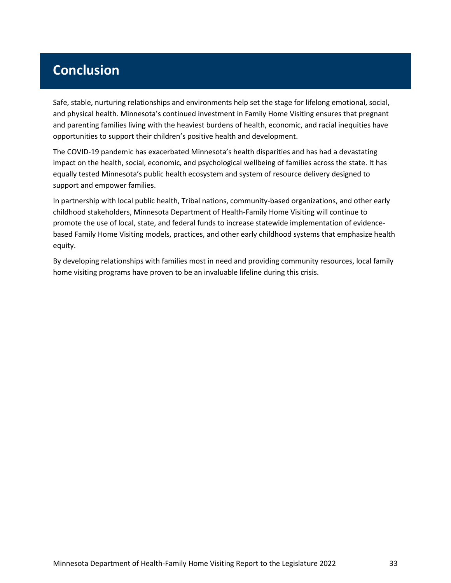# <span id="page-32-0"></span>**Conclusion**

Safe, stable, nurturing relationships and environments help set the stage for lifelong emotional, social, and physical health. Minnesota's continued investment in Family Home Visiting ensures that pregnant and parenting families living with the heaviest burdens of health, economic, and racial inequities have opportunities to support their children's positive health and development.

The COVID-19 pandemic has exacerbated Minnesota's health disparities and has had a devastating impact on the health, social, economic, and psychological wellbeing of families across the state. It has equally tested Minnesota's public health ecosystem and system of resource delivery designed to support and empower families.

In partnership with local public health, Tribal nations, community-based organizations, and other early childhood stakeholders, Minnesota Department of Health-Family Home Visiting will continue to promote the use of local, state, and federal funds to increase statewide implementation of evidencebased Family Home Visiting models, practices, and other early childhood systems that emphasize health equity.

By developing relationships with families most in need and providing community resources, local family home visiting programs have proven to be an invaluable lifeline during this crisis.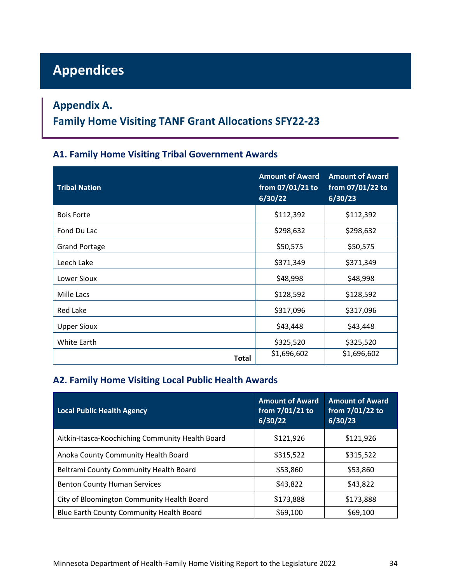# <span id="page-33-0"></span>**Appendices**

## <span id="page-33-1"></span>**Appendix A.**

## **Family Home Visiting TANF Grant Allocations SFY22-23**

### **A1. Family Home Visiting Tribal Government Awards**

| <b>Tribal Nation</b> | <b>Amount of Award</b><br>from 07/01/21 to<br>6/30/22 | <b>Amount of Award</b><br>from 07/01/22 to<br>6/30/23 |
|----------------------|-------------------------------------------------------|-------------------------------------------------------|
| <b>Bois Forte</b>    | \$112,392                                             | \$112,392                                             |
| Fond Du Lac          | \$298,632                                             | \$298,632                                             |
| <b>Grand Portage</b> | \$50,575                                              | \$50,575                                              |
| Leech Lake           | \$371,349                                             | \$371,349                                             |
| Lower Sioux          | \$48,998                                              | \$48,998                                              |
| Mille Lacs           | \$128,592                                             | \$128,592                                             |
| Red Lake             | \$317,096                                             | \$317,096                                             |
| <b>Upper Sioux</b>   | \$43,448                                              | \$43,448                                              |
| White Earth          | \$325,520                                             | \$325,520                                             |
| Total                | \$1,696,602                                           | \$1,696,602                                           |

## **A2. Family Home Visiting Local Public Health Awards**

| <b>Local Public Health Agency</b>                | <b>Amount of Award</b><br>from 7/01/21 to<br>6/30/22 | <b>Amount of Award</b><br>from 7/01/22 to<br>6/30/23 |
|--------------------------------------------------|------------------------------------------------------|------------------------------------------------------|
| Aitkin-Itasca-Koochiching Community Health Board | \$121,926                                            | \$121,926                                            |
| Anoka County Community Health Board              | \$315,522                                            | \$315,522                                            |
| Beltrami County Community Health Board           | \$53,860                                             | \$53,860                                             |
| <b>Benton County Human Services</b>              | \$43,822                                             | \$43,822                                             |
| City of Bloomington Community Health Board       | \$173,888                                            | \$173,888                                            |
| Blue Earth County Community Health Board         | \$69,100                                             | \$69,100                                             |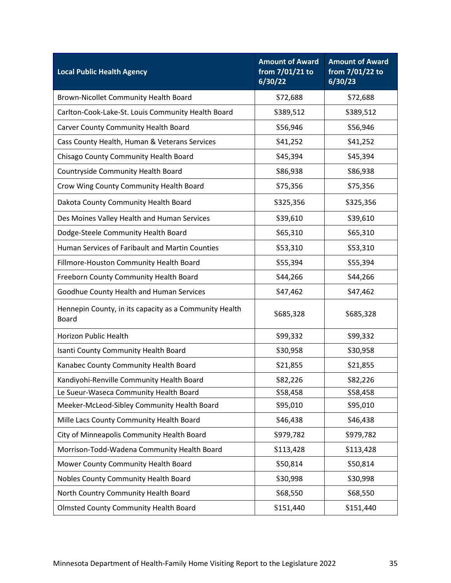| <b>Local Public Health Agency</b>                                      | <b>Amount of Award</b><br>from 7/01/21 to<br>6/30/22 | <b>Amount of Award</b><br>from 7/01/22 to<br>6/30/23 |
|------------------------------------------------------------------------|------------------------------------------------------|------------------------------------------------------|
| Brown-Nicollet Community Health Board                                  | \$72,688                                             | \$72,688                                             |
| Carlton-Cook-Lake-St. Louis Community Health Board                     | \$389,512                                            | \$389,512                                            |
| Carver County Community Health Board                                   | \$56,946                                             | \$56,946                                             |
| Cass County Health, Human & Veterans Services                          | \$41,252                                             | \$41,252                                             |
| Chisago County Community Health Board                                  | \$45,394                                             | \$45,394                                             |
| Countryside Community Health Board                                     | \$86,938                                             | \$86,938                                             |
| Crow Wing County Community Health Board                                | \$75,356                                             | \$75,356                                             |
| Dakota County Community Health Board                                   | \$325,356                                            | \$325,356                                            |
| Des Moines Valley Health and Human Services                            | \$39,610                                             | \$39,610                                             |
| Dodge-Steele Community Health Board                                    | \$65,310                                             | \$65,310                                             |
| Human Services of Faribault and Martin Counties                        | \$53,310                                             | \$53,310                                             |
| Fillmore-Houston Community Health Board                                | \$55,394                                             | \$55,394                                             |
| Freeborn County Community Health Board                                 | \$44,266                                             | \$44,266                                             |
| Goodhue County Health and Human Services                               | \$47,462                                             | \$47,462                                             |
| Hennepin County, in its capacity as a Community Health<br><b>Board</b> | \$685,328                                            | \$685,328                                            |
| Horizon Public Health                                                  | \$99,332                                             | \$99,332                                             |
| Isanti County Community Health Board                                   | \$30,958                                             | \$30,958                                             |
| Kanabec County Community Health Board                                  | \$21,855                                             | \$21,855                                             |
| Kandiyohi-Renville Community Health Board                              | \$82,226                                             | \$82,226                                             |
| Le Sueur-Waseca Community Health Board                                 | \$58,458                                             | \$58,458                                             |
| Meeker-McLeod-Sibley Community Health Board                            | \$95,010                                             | \$95,010                                             |
| Mille Lacs County Community Health Board                               | \$46,438                                             | \$46,438                                             |
| City of Minneapolis Community Health Board                             | \$979,782                                            | \$979,782                                            |
| Morrison-Todd-Wadena Community Health Board                            | \$113,428                                            | \$113,428                                            |
| Mower County Community Health Board                                    | \$50,814                                             | \$50,814                                             |
| Nobles County Community Health Board                                   | \$30,998                                             | \$30,998                                             |
| North Country Community Health Board                                   | \$68,550                                             | \$68,550                                             |
| <b>Olmsted County Community Health Board</b>                           | \$151,440                                            | \$151,440                                            |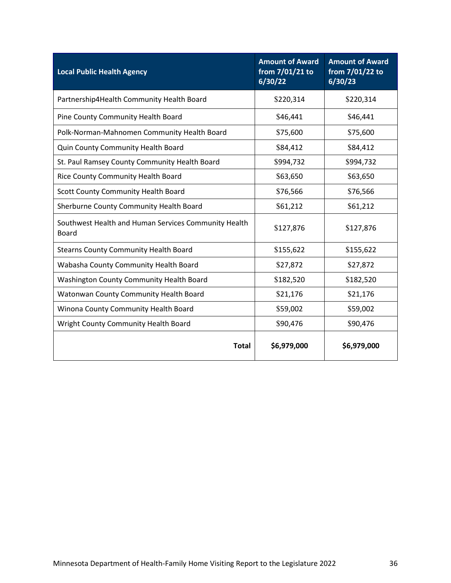| <b>Local Public Health Agency</b>                             | <b>Amount of Award</b><br>from 7/01/21 to<br>6/30/22 | <b>Amount of Award</b><br>from 7/01/22 to<br>6/30/23 |
|---------------------------------------------------------------|------------------------------------------------------|------------------------------------------------------|
| Partnership4Health Community Health Board                     | \$220,314                                            | \$220,314                                            |
| Pine County Community Health Board                            | \$46,441                                             | \$46,441                                             |
| Polk-Norman-Mahnomen Community Health Board                   | \$75,600                                             | \$75,600                                             |
| Quin County Community Health Board                            | \$84,412                                             | \$84,412                                             |
| St. Paul Ramsey County Community Health Board                 | \$994,732                                            | \$994,732                                            |
| Rice County Community Health Board                            | \$63,650                                             | \$63,650                                             |
| Scott County Community Health Board                           | \$76,566                                             | \$76,566                                             |
| Sherburne County Community Health Board                       | \$61,212                                             | \$61,212                                             |
| Southwest Health and Human Services Community Health<br>Board | \$127,876                                            | \$127,876                                            |
| <b>Stearns County Community Health Board</b>                  | \$155,622                                            | \$155,622                                            |
| Wabasha County Community Health Board                         | \$27,872                                             | \$27,872                                             |
| Washington County Community Health Board                      | \$182,520                                            | \$182,520                                            |
| Watonwan County Community Health Board                        | \$21,176                                             | \$21,176                                             |
| Winona County Community Health Board                          | \$59,002                                             | \$59,002                                             |
| Wright County Community Health Board                          | \$90,476                                             | \$90,476                                             |
| <b>Total</b>                                                  | \$6,979,000                                          | \$6,979,000                                          |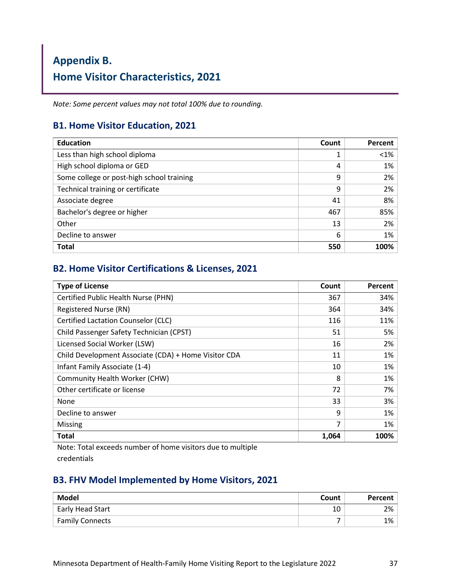# <span id="page-36-0"></span>**Appendix B. Home Visitor Characteristics, 2021**

*Note: Some percent values may not total 100% due to rounding.*

#### **B1. Home Visitor Education, 2021**

| <b>Education</b>                          | Count | Percent |
|-------------------------------------------|-------|---------|
| Less than high school diploma             | 1     | $< 1\%$ |
| High school diploma or GED                | 4     | 1%      |
| Some college or post-high school training | 9     | 2%      |
| Technical training or certificate         | 9     | 2%      |
| Associate degree                          | 41    | 8%      |
| Bachelor's degree or higher               | 467   | 85%     |
| Other                                     | 13    | 2%      |
| Decline to answer                         | 6     | 1%      |
| <b>Total</b>                              | 550   | 100%    |

### **B2. Home Visitor Certifications & Licenses, 2021**

| <b>Type of License</b>                               | Count | Percent |
|------------------------------------------------------|-------|---------|
| Certified Public Health Nurse (PHN)                  | 367   | 34%     |
| Registered Nurse (RN)                                | 364   | 34%     |
| <b>Certified Lactation Counselor (CLC)</b>           | 116   | 11%     |
| Child Passenger Safety Technician (CPST)             | 51    | 5%      |
| Licensed Social Worker (LSW)                         | 16    | 2%      |
| Child Development Associate (CDA) + Home Visitor CDA | 11    | 1%      |
| Infant Family Associate (1-4)                        | 10    | 1%      |
| Community Health Worker (CHW)                        | 8     | 1%      |
| Other certificate or license                         | 72    | 7%      |
| None                                                 | 33    | 3%      |
| Decline to answer                                    | 9     | 1%      |
| Missing                                              | 7     | 1%      |
| <b>Total</b>                                         | 1,064 | 100%    |

Note: Total exceeds number of home visitors due to multiple credentials

## **B3. FHV Model Implemented by Home Visitors, 2021**

| <b>Model</b>           | Count | Percent |
|------------------------|-------|---------|
| Early Head Start       | 10    | 2%      |
| <b>Family Connects</b> |       | 1%      |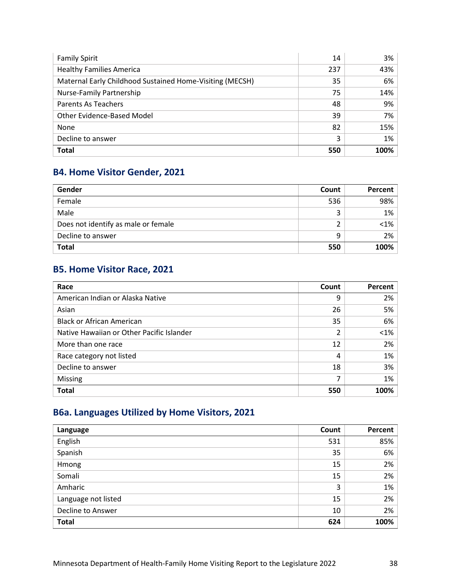| <b>Family Spirit</b>                                     | 14  | 3%   |
|----------------------------------------------------------|-----|------|
| <b>Healthy Families America</b>                          | 237 | 43%  |
| Maternal Early Childhood Sustained Home-Visiting (MECSH) | 35  | 6%   |
| <b>Nurse-Family Partnership</b>                          | 75  | 14%  |
| Parents As Teachers                                      | 48  | 9%   |
| Other Evidence-Based Model                               | 39  | 7%   |
| None                                                     | 82  | 15%  |
| Decline to answer                                        | 3   | 1%   |
| <b>Total</b>                                             | 550 | 100% |

## **B4. Home Visitor Gender, 2021**

| Gender                              | Count | Percent |
|-------------------------------------|-------|---------|
| Female                              | 536   | 98%     |
| Male                                | 3     | 1%      |
| Does not identify as male or female |       | $< 1\%$ |
| Decline to answer                   | 9     | 2%      |
| <b>Total</b>                        | 550   | 100%    |

## **B5. Home Visitor Race, 2021**

| Race                                      | Count          | Percent |
|-------------------------------------------|----------------|---------|
| American Indian or Alaska Native          | 9              | 2%      |
| Asian                                     | 26             | 5%      |
| <b>Black or African American</b>          | 35             | 6%      |
| Native Hawaiian or Other Pacific Islander | $\mathfrak{p}$ | $< 1\%$ |
| More than one race                        | 12             | 2%      |
| Race category not listed                  | 4              | 1%      |
| Decline to answer                         | 18             | 3%      |
| Missing                                   | ⇁              | 1%      |
| <b>Total</b>                              | 550            | 100%    |

## **B6a. Languages Utilized by Home Visitors, 2021**

| Language            | Count | Percent |
|---------------------|-------|---------|
| English             | 531   | 85%     |
| Spanish             | 35    | 6%      |
| Hmong               | 15    | 2%      |
| Somali              | 15    | 2%      |
| Amharic             | 3     | 1%      |
| Language not listed | 15    | 2%      |
| Decline to Answer   | 10    | 2%      |
| <b>Total</b>        | 624   | 100%    |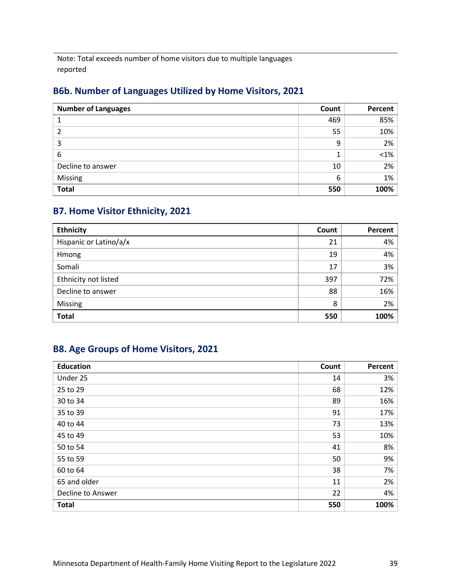Note: Total exceeds number of home visitors due to multiple languages reported

## **B6b. Number of Languages Utilized by Home Visitors, 2021**

| <b>Number of Languages</b> | Count | Percent |
|----------------------------|-------|---------|
|                            | 469   | 85%     |
| 2                          | 55    | 10%     |
| 3                          | 9     | 2%      |
| 6                          |       | $< 1\%$ |
| Decline to answer          | 10    | 2%      |
| Missing                    | 6     | 1%      |
| <b>Total</b>               | 550   | 100%    |

## **B7. Home Visitor Ethnicity, 2021**

| <b>Ethnicity</b>       | Count | Percent |
|------------------------|-------|---------|
| Hispanic or Latino/a/x | 21    | 4%      |
| Hmong                  | 19    | 4%      |
| Somali                 | 17    | 3%      |
| Ethnicity not listed   | 397   | 72%     |
| Decline to answer      | 88    | 16%     |
| Missing                | 8     | 2%      |
| <b>Total</b>           | 550   | 100%    |

## **B8. Age Groups of Home Visitors, 2021**

| <b>Education</b>  | Count | Percent |
|-------------------|-------|---------|
| Under 25          | 14    | 3%      |
| 25 to 29          | 68    | 12%     |
| 30 to 34          | 89    | 16%     |
| 35 to 39          | 91    | 17%     |
| 40 to 44          | 73    | 13%     |
| 45 to 49          | 53    | 10%     |
| 50 to 54          | 41    | 8%      |
| 55 to 59          | 50    | 9%      |
| 60 to 64          | 38    | 7%      |
| 65 and older      | 11    | 2%      |
| Decline to Answer | 22    | 4%      |
| <b>Total</b>      | 550   | 100%    |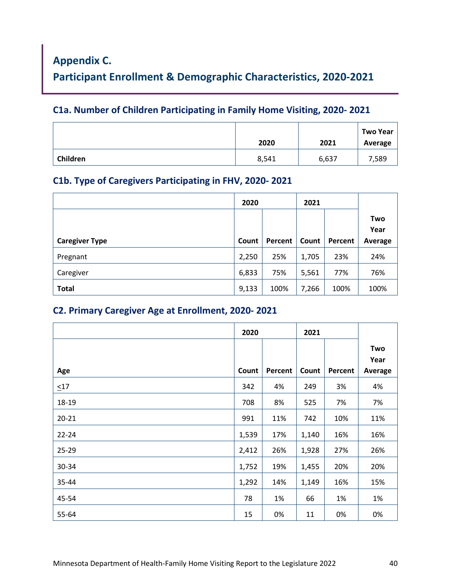# <span id="page-39-0"></span>**Appendix C.**

**Participant Enrollment & Demographic Characteristics, 2020-2021**

## **C1a. Number of Children Participating in Family Home Visiting, 2020- 2021**

|          | 2020  | 2021  | <b>Two Year</b><br>Average |
|----------|-------|-------|----------------------------|
| Children | 8,541 | 6,637 | 7,589                      |

## **C1b. Type of Caregivers Participating in FHV, 2020- 2021**

|                       | 2020  |         | 2021  |         |                        |
|-----------------------|-------|---------|-------|---------|------------------------|
| <b>Caregiver Type</b> | Count | Percent | Count | Percent | Two<br>Year<br>Average |
| Pregnant              | 2,250 | 25%     | 1,705 | 23%     | 24%                    |
| Caregiver             | 6,833 | 75%     | 5,561 | 77%     | 76%                    |
| <b>Total</b>          | 9,133 | 100%    | 7,266 | 100%    | 100%                   |

## **C2. Primary Caregiver Age at Enrollment, 2020- 2021**

|           | 2020  |         | 2021  |         |                        |
|-----------|-------|---------|-------|---------|------------------------|
| Age       | Count | Percent | Count | Percent | Two<br>Year<br>Average |
| $\leq17$  | 342   | 4%      | 249   | 3%      | 4%                     |
| 18-19     | 708   | 8%      | 525   | 7%      | 7%                     |
| $20 - 21$ | 991   | 11%     | 742   | 10%     | 11%                    |
| $22 - 24$ | 1,539 | 17%     | 1,140 | 16%     | 16%                    |
| 25-29     | 2,412 | 26%     | 1,928 | 27%     | 26%                    |
| 30-34     | 1,752 | 19%     | 1,455 | 20%     | 20%                    |
| 35-44     | 1,292 | 14%     | 1,149 | 16%     | 15%                    |
| 45-54     | 78    | 1%      | 66    | 1%      | 1%                     |
| 55-64     | 15    | 0%      | 11    | 0%      | 0%                     |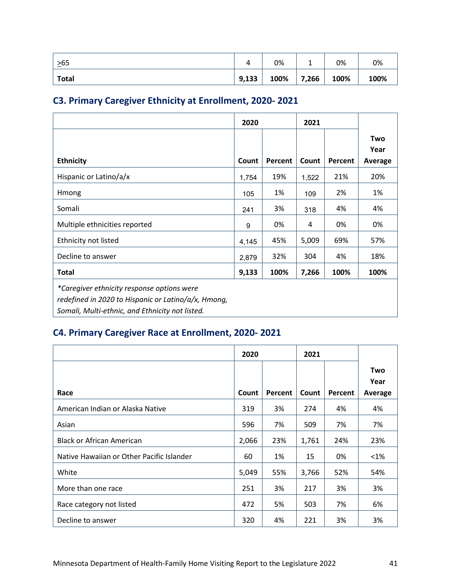| $\geq 65$    | -     | 0%   |       | 0%   | 0%   |
|--------------|-------|------|-------|------|------|
| <b>Total</b> | 9,133 | 100% | 7,266 | 100% | 100% |

## **C3. Primary Caregiver Ethnicity at Enrollment, 2020- 2021**

|                                                                                                                                                      | 2020  |         | 2021  |         |                    |
|------------------------------------------------------------------------------------------------------------------------------------------------------|-------|---------|-------|---------|--------------------|
| <b>Ethnicity</b>                                                                                                                                     | Count | Percent | Count | Percent | <b>Two</b><br>Year |
|                                                                                                                                                      |       |         |       |         | Average            |
| Hispanic or Latino/a/x                                                                                                                               | 1,754 | 19%     | 1,522 | 21%     | 20%                |
| Hmong                                                                                                                                                | 105   | 1%      | 109   | 2%      | 1%                 |
| Somali                                                                                                                                               | 241   | 3%      | 318   | 4%      | 4%                 |
| Multiple ethnicities reported                                                                                                                        | 9     | 0%      | 4     | 0%      | 0%                 |
| Ethnicity not listed                                                                                                                                 | 4,145 | 45%     | 5,009 | 69%     | 57%                |
| Decline to answer                                                                                                                                    | 2,879 | 32%     | 304   | 4%      | 18%                |
| <b>Total</b>                                                                                                                                         | 9,133 | 100%    | 7,266 | 100%    | 100%               |
| *Caregiver ethnicity response options were<br>redefined in 2020 to Hispanic or Latino/a/x, Hmong,<br>Somali, Multi-ethnic, and Ethnicity not listed. |       |         |       |         |                    |

## **C4. Primary Caregiver Race at Enrollment, 2020- 2021**

|                                           | 2020  |         | 2021  |         |                 |
|-------------------------------------------|-------|---------|-------|---------|-----------------|
|                                           |       |         |       |         | Two             |
| Race                                      | Count | Percent | Count | Percent | Year<br>Average |
| American Indian or Alaska Native          | 319   | 3%      | 274   | 4%      | 4%              |
| Asian                                     | 596   | 7%      | 509   | 7%      | 7%              |
| <b>Black or African American</b>          | 2,066 | 23%     | 1,761 | 24%     | 23%             |
| Native Hawaiian or Other Pacific Islander | 60    | 1%      | 15    | 0%      | $< 1\%$         |
| White                                     | 5,049 | 55%     | 3,766 | 52%     | 54%             |
| More than one race                        | 251   | 3%      | 217   | 3%      | 3%              |
| Race category not listed                  | 472   | 5%      | 503   | 7%      | 6%              |
| Decline to answer                         | 320   | 4%      | 221   | 3%      | 3%              |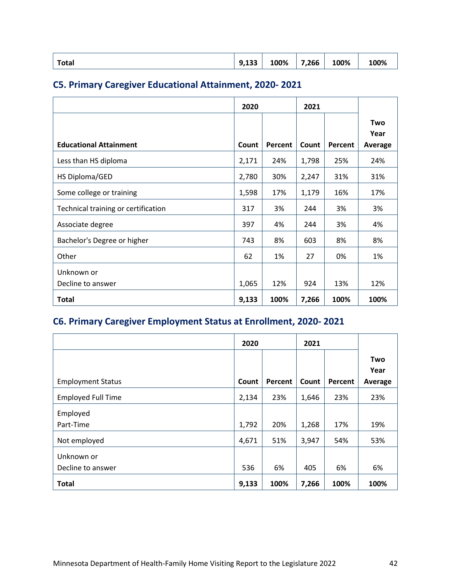## **C5. Primary Caregiver Educational Attainment, 2020- 2021**

|                                     | 2020  |         | 2021  |         |         |
|-------------------------------------|-------|---------|-------|---------|---------|
|                                     |       |         |       |         | Two     |
|                                     |       |         |       |         | Year    |
| <b>Educational Attainment</b>       | Count | Percent | Count | Percent | Average |
| Less than HS diploma                | 2,171 | 24%     | 1,798 | 25%     | 24%     |
| HS Diploma/GED                      | 2,780 | 30%     | 2,247 | 31%     | 31%     |
| Some college or training            | 1,598 | 17%     | 1,179 | 16%     | 17%     |
| Technical training or certification | 317   | 3%      | 244   | 3%      | 3%      |
| Associate degree                    | 397   | 4%      | 244   | 3%      | 4%      |
| Bachelor's Degree or higher         | 743   | 8%      | 603   | 8%      | 8%      |
| Other                               | 62    | 1%      | 27    | 0%      | 1%      |
| Unknown or                          |       |         |       |         |         |
| Decline to answer                   | 1,065 | 12%     | 924   | 13%     | 12%     |
| <b>Total</b>                        | 9,133 | 100%    | 7,266 | 100%    | 100%    |

## **C6. Primary Caregiver Employment Status at Enrollment, 2020- 2021**

|                           | 2020  |         | 2021  |         |                        |
|---------------------------|-------|---------|-------|---------|------------------------|
| <b>Employment Status</b>  | Count | Percent | Count | Percent | Two<br>Year<br>Average |
|                           |       |         |       |         |                        |
| <b>Employed Full Time</b> | 2,134 | 23%     | 1,646 | 23%     | 23%                    |
| Employed                  |       |         |       |         |                        |
| Part-Time                 | 1,792 | 20%     | 1,268 | 17%     | 19%                    |
| Not employed              | 4,671 | 51%     | 3,947 | 54%     | 53%                    |
| Unknown or                |       |         |       |         |                        |
| Decline to answer         | 536   | 6%      | 405   | 6%      | 6%                     |
| <b>Total</b>              | 9,133 | 100%    | 7,266 | 100%    | 100%                   |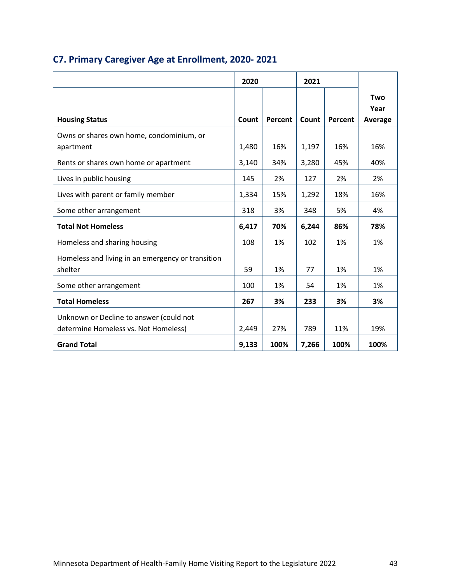|                                                   | 2020  |         | 2021  |         |             |
|---------------------------------------------------|-------|---------|-------|---------|-------------|
|                                                   |       |         |       |         | Two<br>Year |
| <b>Housing Status</b>                             | Count | Percent | Count | Percent | Average     |
| Owns or shares own home, condominium, or          |       |         |       |         |             |
| apartment                                         | 1,480 | 16%     | 1,197 | 16%     | 16%         |
| Rents or shares own home or apartment             | 3,140 | 34%     | 3,280 | 45%     | 40%         |
| Lives in public housing                           | 145   | 2%      | 127   | 2%      | 2%          |
| Lives with parent or family member                | 1,334 | 15%     | 1,292 | 18%     | 16%         |
| Some other arrangement                            | 318   | 3%      | 348   | 5%      | 4%          |
| <b>Total Not Homeless</b>                         | 6,417 | 70%     | 6,244 | 86%     | 78%         |
| Homeless and sharing housing                      | 108   | 1%      | 102   | 1%      | 1%          |
| Homeless and living in an emergency or transition |       |         |       |         |             |
| shelter                                           | 59    | 1%      | 77    | 1%      | 1%          |
| Some other arrangement                            | 100   | 1%      | 54    | 1%      | 1%          |
| <b>Total Homeless</b>                             | 267   | 3%      | 233   | 3%      | 3%          |
| Unknown or Decline to answer (could not           |       |         |       |         |             |
| determine Homeless vs. Not Homeless)              | 2,449 | 27%     | 789   | 11%     | 19%         |
| <b>Grand Total</b>                                | 9,133 | 100%    | 7,266 | 100%    | 100%        |

## **C7. Primary Caregiver Age at Enrollment, 2020- 2021**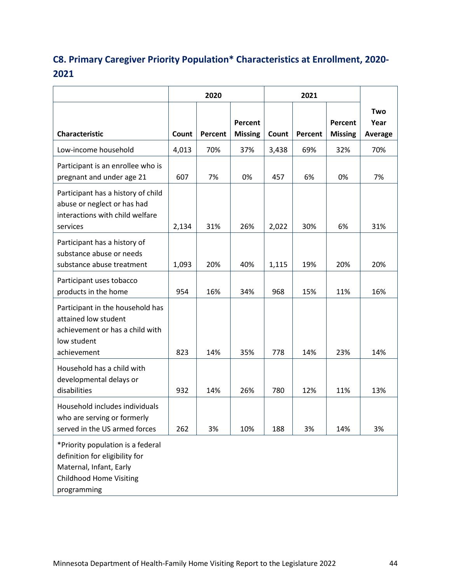## **C8. Primary Caregiver Priority Population\* Characteristics at Enrollment, 2020- 2021**

|                                                                                                                                                 | 2020  |         |                           | 2021  |         |                           |                        |
|-------------------------------------------------------------------------------------------------------------------------------------------------|-------|---------|---------------------------|-------|---------|---------------------------|------------------------|
| Characteristic                                                                                                                                  | Count | Percent | Percent<br><b>Missing</b> | Count | Percent | Percent<br><b>Missing</b> | Two<br>Year<br>Average |
| Low-income household                                                                                                                            | 4,013 | 70%     | 37%                       | 3,438 | 69%     | 32%                       | 70%                    |
| Participant is an enrollee who is<br>pregnant and under age 21                                                                                  | 607   | 7%      | 0%                        | 457   | 6%      | 0%                        | 7%                     |
| Participant has a history of child<br>abuse or neglect or has had<br>interactions with child welfare<br>services                                | 2,134 | 31%     | 26%                       | 2,022 | 30%     | 6%                        | 31%                    |
| Participant has a history of<br>substance abuse or needs<br>substance abuse treatment                                                           | 1,093 | 20%     | 40%                       | 1,115 | 19%     | 20%                       | 20%                    |
| Participant uses tobacco<br>products in the home                                                                                                | 954   | 16%     | 34%                       | 968   | 15%     | 11%                       | 16%                    |
| Participant in the household has<br>attained low student<br>achievement or has a child with<br>low student<br>achievement                       | 823   | 14%     | 35%                       | 778   | 14%     | 23%                       | 14%                    |
| Household has a child with<br>developmental delays or<br>disabilities                                                                           | 932   | 14%     | 26%                       | 780   | 12%     | 11%                       | 13%                    |
| Household includes individuals<br>who are serving or formerly<br>served in the US armed forces                                                  | 262   | 3%      | 10%                       | 188   | 3%      | 14%                       | 3%                     |
| *Priority population is a federal<br>definition for eligibility for<br>Maternal, Infant, Early<br><b>Childhood Home Visiting</b><br>programming |       |         |                           |       |         |                           |                        |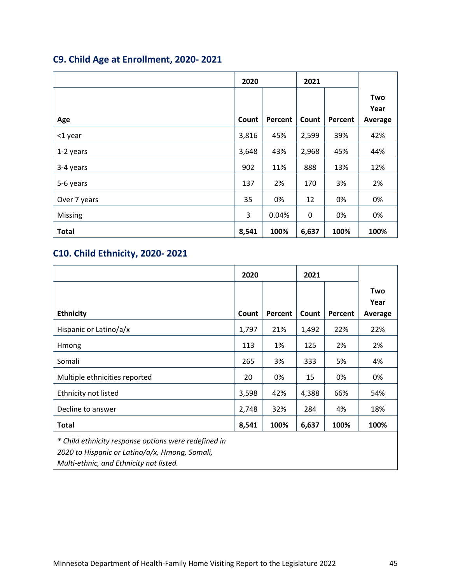## **C9. Child Age at Enrollment, 2020- 2021**

|              | 2020  |         | 2021  |         |         |
|--------------|-------|---------|-------|---------|---------|
|              |       |         |       |         | Two     |
|              |       |         |       |         | Year    |
| Age          | Count | Percent | Count | Percent | Average |
| <1 year      | 3,816 | 45%     | 2,599 | 39%     | 42%     |
| 1-2 years    | 3,648 | 43%     | 2,968 | 45%     | 44%     |
| 3-4 years    | 902   | 11%     | 888   | 13%     | 12%     |
| 5-6 years    | 137   | 2%      | 170   | 3%      | 2%      |
| Over 7 years | 35    | 0%      | 12    | 0%      | 0%      |
| Missing      | 3     | 0.04%   | 0     | 0%      | 0%      |
| <b>Total</b> | 8,541 | 100%    | 6,637 | 100%    | 100%    |

## **C10. Child Ethnicity, 2020- 2021**

|                                                                                                        | 2020  |         | 2021  |         |                        |
|--------------------------------------------------------------------------------------------------------|-------|---------|-------|---------|------------------------|
| <b>Ethnicity</b>                                                                                       | Count | Percent | Count | Percent | Two<br>Year<br>Average |
| Hispanic or Latino/a/x                                                                                 | 1,797 | 21%     | 1,492 | 22%     | 22%                    |
| Hmong                                                                                                  | 113   | 1%      | 125   | 2%      | 2%                     |
| Somali                                                                                                 | 265   | 3%      | 333   | 5%      | 4%                     |
| Multiple ethnicities reported                                                                          | 20    | 0%      | 15    | 0%      | 0%                     |
| Ethnicity not listed                                                                                   | 3,598 | 42%     | 4,388 | 66%     | 54%                    |
| Decline to answer                                                                                      | 2,748 | 32%     | 284   | 4%      | 18%                    |
| <b>Total</b>                                                                                           | 8,541 | 100%    | 6,637 | 100%    | 100%                   |
| * Child ethnicity response options were redefined in<br>2020 to Hispanic or Latino/a/x, Hmong, Somali, |       |         |       |         |                        |

*Multi-ethnic, and Ethnicity not listed.*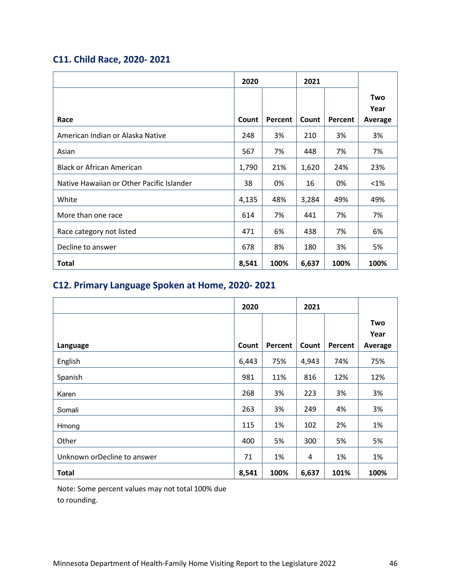## **C11. Child Race, 2020- 2021**

|                                           | 2020  |         | 2021  |         |                        |
|-------------------------------------------|-------|---------|-------|---------|------------------------|
| Race                                      | Count | Percent | Count | Percent | Two<br>Year<br>Average |
| American Indian or Alaska Native          | 248   | 3%      | 210   | 3%      | 3%                     |
| Asian                                     | 567   | 7%      | 448   | 7%      | 7%                     |
| <b>Black or African American</b>          | 1,790 | 21%     | 1,620 | 24%     | 23%                    |
| Native Hawaiian or Other Pacific Islander | 38    | 0%      | 16    | 0%      | $< 1\%$                |
| White                                     | 4,135 | 48%     | 3,284 | 49%     | 49%                    |
| More than one race                        | 614   | 7%      | 441   | 7%      | 7%                     |
| Race category not listed                  | 471   | 6%      | 438   | 7%      | 6%                     |
| Decline to answer                         | 678   | 8%      | 180   | 3%      | 5%                     |
| Total                                     | 8,541 | 100%    | 6,637 | 100%    | 100%                   |

## **C12. Primary Language Spoken at Home, 2020- 2021**

|                             | 2020  |         | 2021  |         |                        |
|-----------------------------|-------|---------|-------|---------|------------------------|
| Language                    | Count | Percent | Count | Percent | Two<br>Year<br>Average |
| English                     | 6,443 | 75%     | 4,943 | 74%     | 75%                    |
| Spanish                     | 981   | 11%     | 816   | 12%     | 12%                    |
| Karen                       | 268   | 3%      | 223   | 3%      | 3%                     |
| Somali                      | 263   | 3%      | 249   | 4%      | 3%                     |
| Hmong                       | 115   | 1%      | 102   | 2%      | 1%                     |
| Other                       | 400   | 5%      | 300   | 5%      | 5%                     |
| Unknown orDecline to answer | 71    | 1%      | 4     | 1%      | 1%                     |
| <b>Total</b>                | 8,541 | 100%    | 6,637 | 101%    | 100%                   |

Note: Some percent values may not total 100% due to rounding.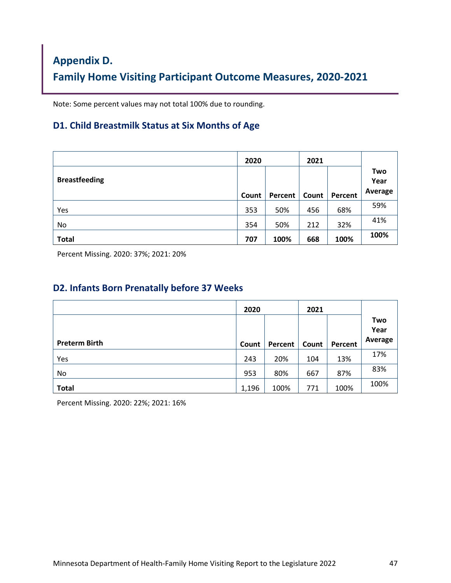# <span id="page-46-0"></span>**Appendix D. Family Home Visiting Participant Outcome Measures, 2020-2021**

Note: Some percent values may not total 100% due to rounding.

#### **D1. Child Breastmilk Status at Six Months of Age**

|                      | 2020  |         | 2021  |         |                        |
|----------------------|-------|---------|-------|---------|------------------------|
| <b>Breastfeeding</b> | Count | Percent | Count | Percent | Two<br>Year<br>Average |
|                      |       |         |       |         |                        |
| Yes                  | 353   | 50%     | 456   | 68%     | 59%                    |
| No                   | 354   | 50%     | 212   | 32%     | 41%                    |
| <b>Total</b>         | 707   | 100%    | 668   | 100%    | 100%                   |

Percent Missing. 2020: 37%; 2021: 20%

#### **D2. Infants Born Prenatally before 37 Weeks**

|                      | 2020  |                      | 2021  |         |                        |
|----------------------|-------|----------------------|-------|---------|------------------------|
|                      |       |                      |       |         | Two<br>Year<br>Average |
| <b>Preterm Birth</b> | Count | Percent <sup>1</sup> | Count | Percent |                        |
| Yes                  | 243   | 20%                  | 104   | 13%     | 17%                    |
| No                   | 953   | 80%                  | 667   | 87%     | 83%                    |
| <b>Total</b>         | 1,196 | 100%                 | 771   | 100%    | 100%                   |

Percent Missing. 2020: 22%; 2021: 16%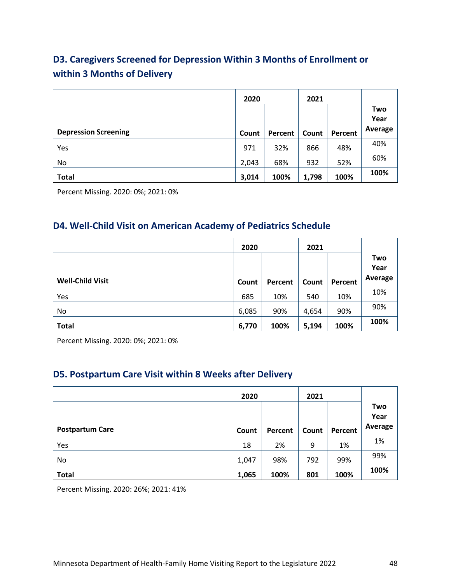## **D3. Caregivers Screened for Depression Within 3 Months of Enrollment or within 3 Months of Delivery**

|                             | 2020  |         | 2021  |         |                        |
|-----------------------------|-------|---------|-------|---------|------------------------|
| <b>Depression Screening</b> | Count | Percent | Count | Percent | Two<br>Year<br>Average |
| Yes                         | 971   | 32%     | 866   | 48%     | 40%                    |
| No                          | 2,043 | 68%     | 932   | 52%     | 60%                    |
| <b>Total</b>                | 3,014 | 100%    | 1,798 | 100%    | 100%                   |

Percent Missing. 2020: 0%; 2021: 0%

### **D4. Well-Child Visit on American Academy of Pediatrics Schedule**

|                         | 2020  |         | 2021  |         |             |
|-------------------------|-------|---------|-------|---------|-------------|
|                         |       |         |       |         | Two<br>Year |
| <b>Well-Child Visit</b> | Count | Percent | Count | Percent | Average     |
| Yes                     | 685   | 10%     | 540   | 10%     | 10%         |
| No                      | 6,085 | 90%     | 4,654 | 90%     | 90%         |
| <b>Total</b>            | 6,770 | 100%    | 5,194 | 100%    | 100%        |

Percent Missing. 2020: 0%; 2021: 0%

## **D5. Postpartum Care Visit within 8 Weeks after Delivery**

|                        | 2020  |         | 2021  |         |                        |
|------------------------|-------|---------|-------|---------|------------------------|
| <b>Postpartum Care</b> | Count | Percent | Count | Percent | Two<br>Year<br>Average |
| Yes                    | 18    | 2%      | 9     | 1%      | 1%                     |
| No                     | 1,047 | 98%     | 792   | 99%     | 99%                    |
| <b>Total</b>           | 1,065 | 100%    | 801   | 100%    | 100%                   |

Percent Missing. 2020: 26%; 2021: 41%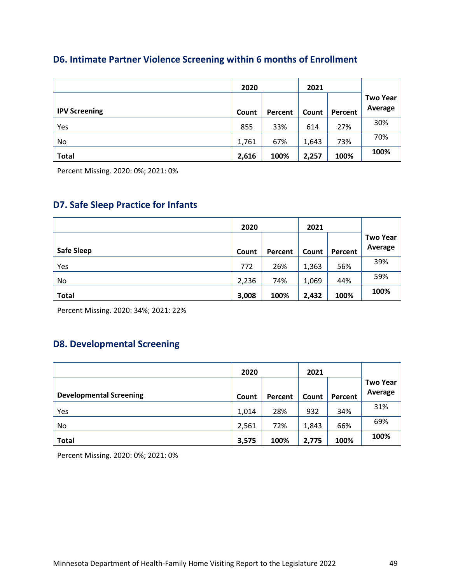### **D6. Intimate Partner Violence Screening within 6 months of Enrollment**

|                      | 2020  |         | 2021  |         |                 |
|----------------------|-------|---------|-------|---------|-----------------|
|                      |       |         |       |         | <b>Two Year</b> |
| <b>IPV Screening</b> | Count | Percent | Count | Percent | Average         |
| Yes                  | 855   | 33%     | 614   | 27%     | 30%             |
| No.                  | 1,761 | 67%     | 1,643 | 73%     | 70%             |
| <b>Total</b>         | 2,616 | 100%    | 2,257 | 100%    | 100%            |

Percent Missing. 2020: 0%; 2021: 0%

## **D7. Safe Sleep Practice for Infants**

|                   | 2020  |         | 2021  |         |                            |
|-------------------|-------|---------|-------|---------|----------------------------|
| <b>Safe Sleep</b> | Count | Percent | Count | Percent | <b>Two Year</b><br>Average |
| Yes               | 772   | 26%     | 1,363 | 56%     | 39%                        |
| No                | 2,236 | 74%     | 1,069 | 44%     | 59%                        |
| <b>Total</b>      | 3,008 | 100%    | 2,432 | 100%    | 100%                       |

Percent Missing. 2020: 34%; 2021: 22%

### **D8. Developmental Screening**

|                                | 2020  |         | 2021  |         |                            |
|--------------------------------|-------|---------|-------|---------|----------------------------|
| <b>Developmental Screening</b> | Count | Percent | Count | Percent | <b>Two Year</b><br>Average |
| Yes                            | 1,014 | 28%     | 932   | 34%     | 31%                        |
| No                             | 2,561 | 72%     | 1,843 | 66%     | 69%                        |
| <b>Total</b>                   | 3,575 | 100%    | 2,775 | 100%    | 100%                       |

Percent Missing. 2020: 0%; 2021: 0%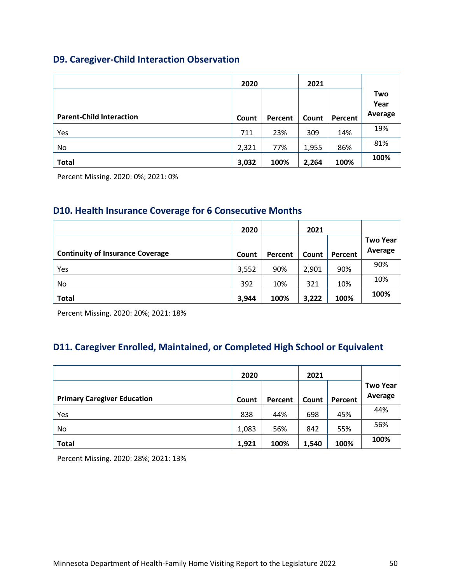## **D9. Caregiver-Child Interaction Observation**

|                                 | 2020  |         | 2021  |         |                        |
|---------------------------------|-------|---------|-------|---------|------------------------|
| <b>Parent-Child Interaction</b> | Count | Percent | Count | Percent | Two<br>Year<br>Average |
| Yes                             | 711   | 23%     | 309   | 14%     | 19%                    |
| No                              | 2,321 | 77%     | 1,955 | 86%     | 81%                    |
| <b>Total</b>                    | 3,032 | 100%    | 2,264 | 100%    | 100%                   |

Percent Missing. 2020: 0%; 2021: 0%

### **D10. Health Insurance Coverage for 6 Consecutive Months**

|                                         | 2020  |         | 2021  |         |                            |
|-----------------------------------------|-------|---------|-------|---------|----------------------------|
|                                         |       |         |       |         | <b>Two Year</b><br>Average |
| <b>Continuity of Insurance Coverage</b> | Count | Percent | Count | Percent |                            |
| Yes                                     | 3,552 | 90%     | 2,901 | 90%     | 90%                        |
| No.                                     | 392   | 10%     | 321   | 10%     | 10%                        |
| <b>Total</b>                            | 3,944 | 100%    | 3,222 | 100%    | 100%                       |

Percent Missing. 2020: 20%; 2021: 18%

## **D11. Caregiver Enrolled, Maintained, or Completed High School or Equivalent**

|                                    | 2020  |         | 2021  |         |                            |
|------------------------------------|-------|---------|-------|---------|----------------------------|
|                                    |       |         |       |         | <b>Two Year</b><br>Average |
| <b>Primary Caregiver Education</b> | Count | Percent | Count | Percent |                            |
| Yes                                | 838   | 44%     | 698   | 45%     | 44%                        |
| No.                                | 1,083 | 56%     | 842   | 55%     | 56%                        |
| <b>Total</b>                       | 1,921 | 100%    | 1,540 | 100%    | 100%                       |

Percent Missing. 2020: 28%; 2021: 13%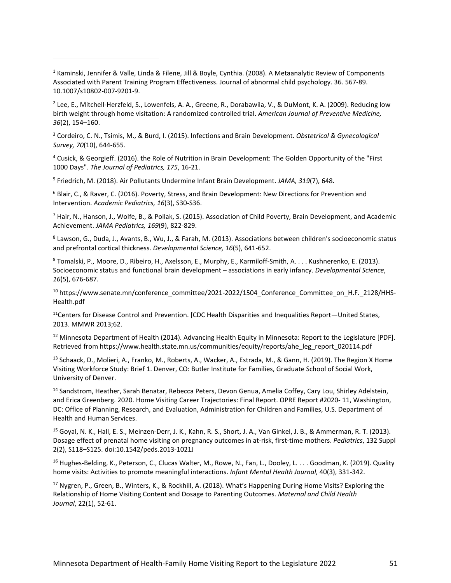<span id="page-50-1"></span> $2$  Lee, E., Mitchell-Herzfeld, S., Lowenfels, A. A., Greene, R., Dorabawila, V., & DuMont, K. A. (2009). Reducing low birth weight through home visitation: A randomized controlled trial. *American Journal of Preventive Medicine, 36*(2), 154–160.

<span id="page-50-2"></span><sup>3</sup> Cordeiro, C. N., Tsimis, M., & Burd, I. (2015). Infections and Brain Development. *Obstetrical & Gynecological Survey, 70*(10), 644-655.

<span id="page-50-3"></span><sup>4</sup> Cusick, & Georgieff. (2016). the Role of Nutrition in Brain Development: The Golden Opportunity of the "First 1000 Days". *The Journal of Pediatrics, 175*, 16-21.

<span id="page-50-4"></span><sup>5</sup> Friedrich, M. (2018). Air Pollutants Undermine Infant Brain Development. *JAMA, 319*(7), 648.

<span id="page-50-5"></span><sup>6</sup> Blair, C., & Raver, C. (2016). Poverty, Stress, and Brain Development: New Directions for Prevention and Intervention. *Academic Pediatrics, 16*(3), S30-S36.

<span id="page-50-6"></span> $^7$  Hair, N., Hanson, J., Wolfe, B., & Pollak, S. (2015). Association of Child Poverty, Brain Development, and Academic Achievement. *JAMA Pediatrics, 169*(9), 822-829.

<span id="page-50-7"></span><sup>8</sup> Lawson, G., Duda, J., Avants, B., Wu, J., & Farah, M. (2013). Associations between children's socioeconomic status and prefrontal cortical thickness. *Developmental Science, 16*(5), 641-652.

<span id="page-50-8"></span><sup>9</sup> Tomalski, P., Moore, D., Ribeiro, H., Axelsson, E., Murphy, E., Karmiloff-Smith, A. . . . Kushnerenko, E. (2013). Socioeconomic status and functional brain development – associations in early infancy. *Developmental Science*, *16*(5), 676-687.

<span id="page-50-9"></span><sup>10</sup> https://www.senate.mn/conference\_committee/2021-2022/1504\_Conference\_Committee\_on\_H.F.\_2128/HHS-Health.pdf

<span id="page-50-10"></span> $<sup>11</sup>$ Centers for Disease Control and Prevention. [CDC Health Disparities and Inequalities Report—United States,</sup> 2013. MMWR 2013;62.

<span id="page-50-11"></span><sup>12</sup> Minnesota Department of Health (2014). Advancing Health Equity in Minnesota: Report to the Legislature [PDF]. Retrieved from https://www.health.state.mn.us/communities/equity/reports/ahe\_leg\_report\_020114.pdf

<span id="page-50-12"></span><sup>13</sup> Schaack, D., Molieri, A., Franko, M., Roberts, A., Wacker, A., Estrada, M., & Gann, H. (2019). The Region X Home Visiting Workforce Study: Brief 1. Denver, CO: Butler Institute for Families, Graduate School of Social Work, University of Denver.

<span id="page-50-13"></span><sup>14</sup> Sandstrom, Heather, Sarah Benatar, Rebecca Peters, Devon Genua, Amelia Coffey, Cary Lou, Shirley Adelstein, and Erica Greenberg. 2020. Home Visiting Career Trajectories: Final Report. OPRE Report #2020- 11, Washington, DC: Office of Planning, Research, and Evaluation, Administration for Children and Families, U.S. Department of Health and Human Services.

<span id="page-50-14"></span><sup>15</sup> Goyal, N. K., Hall, E. S., Meinzen-Derr, J. K., Kahn, R. S., Short, J. A., Van Ginkel, J. B., & Ammerman, R. T. (2013). Dosage effect of prenatal home visiting on pregnancy outcomes in at-risk, first-time mothers. *Pediatrics*, 132 Suppl 2(2), S118–S125. doi:10.1542/peds.2013-1021J

<span id="page-50-15"></span><sup>16</sup> Hughes-Belding, K., Peterson, C., Clucas Walter, M., Rowe, N., Fan, L., Dooley, L. . . . Goodman, K. (2019). Quality home visits: Activities to promote meaningful interactions. *Infant Mental Health Journal*, 40(3), 331-342.

<span id="page-50-16"></span><sup>17</sup> Nygren, P., Green, B., Winters, K., & Rockhill, A. (2018). What's Happening During Home Visits? Exploring the Relationship of Home Visiting Content and Dosage to Parenting Outcomes. *Maternal and Child Health Journal*, 22(1), 52-61.

<span id="page-50-0"></span><sup>&</sup>lt;sup>1</sup> Kaminski, Jennifer & Valle, Linda & Filene, Jill & Boyle, Cynthia. (2008). A Metaanalytic Review of Components Associated with Parent Training Program Effectiveness. Journal of abnormal child psychology. 36. 567-89. 10.1007/s10802-007-9201-9.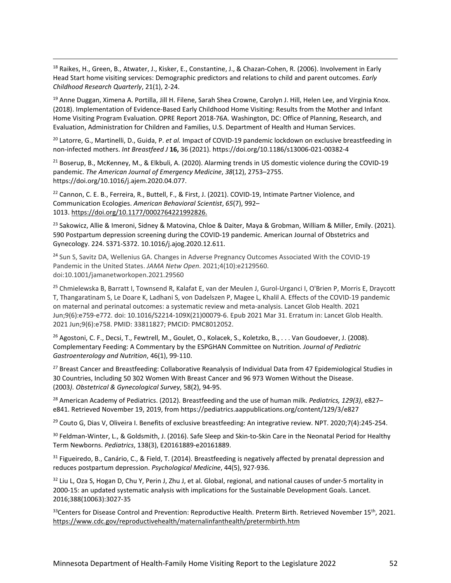<span id="page-51-0"></span><sup>18</sup> Raikes, H., Green, B., Atwater, J., Kisker, E., Constantine, J., & Chazan-Cohen, R. (2006). Involvement in Early Head Start home visiting services: Demographic predictors and relations to child and parent outcomes. *Early Childhood Research Quarterly*, 21(1), 2-24.

<span id="page-51-1"></span><sup>19</sup> Anne Duggan, Ximena A. Portilla, Jill H. Filene, Sarah Shea Crowne, Carolyn J. Hill, Helen Lee, and Virginia Knox. (2018). Implementation of Evidence-Based Early Childhood Home Visiting: Results from the Mother and Infant Home Visiting Program Evaluation. OPRE Report 2018-76A. Washington, DC: Office of Planning, Research, and Evaluation, Administration for Children and Families, U.S. Department of Health and Human Services.

<span id="page-51-2"></span><sup>20</sup> Latorre, G., Martinelli, D., Guida, P. *et al.* Impact of COVID-19 pandemic lockdown on exclusive breastfeeding in non-infected mothers. *Int Breastfeed J* **16,** 36 (2021). https://doi.org/10.1186/s13006-021-00382-4

<span id="page-51-3"></span><sup>21</sup> Boserup, B., McKenney, M., & Elkbuli, A. (2020). Alarming trends in US domestic violence during the COVID-19 pandemic. *The American Journal of Emergency Medicine*, *38*(12), 2753–2755. https://doi.org/10.1016/j.ajem.2020.04.077.

<span id="page-51-4"></span><sup>22</sup> Cannon, C. E. B., Ferreira, R., Buttell, F., & First, J. (2021). COVID-19, Intimate Partner Violence, and Communication Ecologies. *American Behavioral Scientist*, *65*(7), 992– 1013. [https://doi.org/10.1177/0002764221992826.](https://journals.sagepub.com/doi/10.1177/0002764221992826)

<span id="page-51-5"></span><sup>23</sup> Sakowicz, Allie & Imeroni, Sidney & Matovina, Chloe & Daiter, Maya & Grobman, William & Miller, Emily. (2021). 590 Postpartum depression screening during the COVID-19 pandemic. American Journal of Obstetrics and Gynecology. 224. S371-S372. 10.1016/j.ajog.2020.12.611.

<span id="page-51-6"></span><sup>24</sup> Sun S, Savitz DA, Wellenius GA. Changes in Adverse Pregnancy Outcomes Associated With the COVID-19 Pandemic in the United States. *JAMA Netw Open.* 2021;4(10):e2129560. doi:10.1001/jamanetworkopen.2021.29560

<span id="page-51-7"></span><sup>25</sup> Chmielewska B, Barratt I, Townsend R, Kalafat E, van der Meulen J, Gurol-Urganci I, O'Brien P, Morris E, Draycott T, Thangaratinam S, Le Doare K, Ladhani S, von Dadelszen P, Magee L, Khalil A. Effects of the COVID-19 pandemic on maternal and perinatal outcomes: a systematic review and meta-analysis. Lancet Glob Health. 2021 Jun;9(6):e759-e772. doi: 10.1016/S2214-109X(21)00079-6. Epub 2021 Mar 31. Erratum in: Lancet Glob Health. 2021 Jun;9(6):e758. PMID: 33811827; PMCID: PMC8012052.

<span id="page-51-8"></span><sup>26</sup> Agostoni, C. F., Decsi, T., Fewtrell, M., Goulet, O., Kolacek, S., Koletzko, B., . . . Van Goudoever, J. (2008). Complementary Feeding: A Commentary by the ESPGHAN Committee on Nutrition*. Journal of Pediatric Gastroenterology and Nutrition*, 46(1), 99-110.

<span id="page-51-9"></span><sup>27</sup> Breast Cancer and Breastfeeding: Collaborative Reanalysis of Individual Data from 47 Epidemiological Studies in 30 Countries, Including 50 302 Women With Breast Cancer and 96 973 Women Without the Disease. (2003*). Obstetrical & Gynecological Survey*, 58(2), 94-95.

<span id="page-51-10"></span><sup>28</sup> American Academy of Pediatrics. (2012). Breastfeeding and the use of human milk. *Pediatrics, 129(3)*, e827– e841. Retrieved November 19, 2019, fro[m https://pediatrics.aappublications.org/content/129/3/e827](https://pediatrics.aappublications.org/content/129/3/e827)

<span id="page-51-11"></span><sup>29</sup> Couto G, Dias V, Oliveira I. Benefits of exclusive breastfeeding: An integrative review. NPT. 2020;7(4):245-254.

<span id="page-51-12"></span><sup>30</sup> Feldman-Winter, L., & Goldsmith, J. (2016). Safe Sleep and Skin-to-Skin Care in the Neonatal Period for Healthy Term Newborns. *Pediatrics*, 138(3), E20161889-e20161889.

<span id="page-51-13"></span> $31$  Figueiredo, B., Canário, C., & Field, T. (2014). Breastfeeding is negatively affected by prenatal depression and reduces postpartum depression. *Psychological Medicine*, 44(5), 927-936.

<span id="page-51-14"></span>32 Liu L, Oza S, Hogan D, Chu Y, Perin J, Zhu J, et al. Global, regional, and national causes of under-5 mortality in 2000-15: an updated systematic analysis with implications for the Sustainable Development Goals. Lancet. 2016;388(10063):3027-35

<span id="page-51-15"></span> $33$ Centers for Disease Control and Prevention: Reproductive Health. Preterm Birth. Retrieved November 15<sup>th</sup>, 2021. <https://www.cdc.gov/reproductivehealth/maternalinfanthealth/pretermbirth.htm>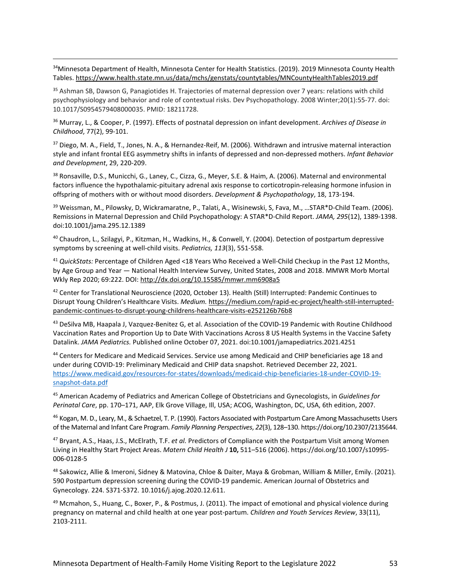<span id="page-52-0"></span>34Minnesota Department of Health, Minnesota Center for Health Statistics. (2019). 2019 Minnesota County Health Tables. <https://www.health.state.mn.us/data/mchs/genstats/countytables/MNCountyHealthTables2019.pdf>

<span id="page-52-1"></span><sup>35</sup> Ashman SB, Dawson G, Panagiotides H. Trajectories of maternal depression over 7 years: relations with child psychophysiology and behavior and role of contextual risks. Dev Psychopathology. 2008 Winter;20(1):55-77. doi: 10.1017/S0954579408000035. PMID: 18211728.

<span id="page-52-2"></span><sup>36</sup> Murray, L., & Cooper, P. (1997). Effects of postnatal depression on infant development. *Archives of Disease in Childhood*, 77(2), 99-101.

<span id="page-52-3"></span><sup>37</sup> Diego, M. A., Field, T., Jones, N. A., & Hernandez-Reif, M. (2006). Withdrawn and intrusive maternal interaction style and infant frontal EEG asymmetry shifts in infants of depressed and non-depressed mothers. *Infant Behavior and Development*, 29, 220-209.

<span id="page-52-4"></span><sup>38</sup> Ronsaville, D.S., Municchi, G., Laney, C., Cizza, G., Meyer, S.E. & Haim, A. (2006). Maternal and environmental factors influence the hypothalamic-pituitary adrenal axis response to corticotropin-releasing hormone infusion in offspring of mothers with or without mood disorders. *Development & Psychopathology*, 18, 173-194.

<span id="page-52-5"></span><sup>39</sup> Weissman, M., Pilowsky, D, Wickramaratne, P., Talati, A., Wisinewski, S, Fava, M., …STAR\*D-Child Team. (2006). Remissions in Maternal Depression and Child Psychopathology: A STAR\*D-Child Report. *JAMA, 295*(12), 1389-1398. doi:10.1001/jama.295.12.1389

<span id="page-52-6"></span><sup>40</sup> Chaudron, L., Szilagyi, P., Kitzman, H., Wadkins, H., & Conwell, Y. (2004). Detection of postpartum depressive symptoms by screening at well-child visits. *Pediatrics, 113*(3), 551-558.

<span id="page-52-7"></span><sup>41</sup> *QuickStats:* Percentage of Children Aged <18 Years Who Received a Well-Child Checkup in the Past 12 Months, by Age Group and Year — National Health Interview Survey, United States, 2008 and 2018. MMWR Morb Mortal Wkly Rep 2020; 69:222. DOI: <http://dx.doi.org/10.15585/mmwr.mm6908a5>

<span id="page-52-8"></span><sup>42</sup> Center for Translational Neuroscience (2020, October 13). Health (Still) Interrupted: Pandemic Continues to Disrupt Young Children's Healthcare Visits. *Medium.* [https://medium.com/rapid-ec-project/health-still-interrupted](https://medium.com/rapid-ec-project/health-still-interrupted-pandemic-continues-to-disrupt-young-childrens-healthcare-visits-e252126b76b8)[pandemic-continues-to-disrupt-young-childrens-healthcare-visits-e252126b76b8](https://medium.com/rapid-ec-project/health-still-interrupted-pandemic-continues-to-disrupt-young-childrens-healthcare-visits-e252126b76b8)

<span id="page-52-9"></span><sup>43</sup> DeSilva MB, Haapala J, Vazquez-Benitez G, et al. Association of the COVID-19 Pandemic with Routine Childhood Vaccination Rates and Proportion Up to Date With Vaccinations Across 8 US Health Systems in the Vaccine Safety Datalink. *JAMA Pediatrics.* Published online October 07, 2021. doi:10.1001/jamapediatrics.2021.4251

<span id="page-52-10"></span><sup>44</sup> Centers for Medicare and Medicaid Services. Service use among Medicaid and CHIP beneficiaries age 18 and under during COVID-19: Preliminary Medicaid and CHIP data snapshot. Retrieved December 22, 2021. [https://www.medicaid.gov/resources-for-states/downloads/medicaid-chip-beneficiaries-18-under-COVID-19](https://www.medicaid.gov/resources-for-states/downloads/medicaid-chip-beneficiaries-18-under-COVID-19-snapshot-data.pdf) [snapshot-data.pdf](https://www.medicaid.gov/resources-for-states/downloads/medicaid-chip-beneficiaries-18-under-COVID-19-snapshot-data.pdf)

<span id="page-52-11"></span><sup>45</sup> American Academy of Pediatrics and American College of Obstetricians and Gynecologists, in *Guidelines for Perinatal Care*, pp. 170–171, AAP, Elk Grove Village, Ill, USA; ACOG, Washington, DC, USA, 6th edition, 2007.

<span id="page-52-12"></span><sup>46</sup> Kogan, M. D., Leary, M., & Schaetzel, T. P. (1990). Factors Associated with Postpartum Care Among Massachusetts Users of the Maternal and Infant Care Program. *Family Planning Perspectives*, *22*(3), 128–130. https://doi.org/10.2307/2135644.

<span id="page-52-13"></span><sup>47</sup> Bryant, A.S., Haas, J.S., McElrath, T.F. *et al.* Predictors of Compliance with the Postpartum Visit among Women Living in Healthy Start Project Areas. *Matern Child Health J* **10,** 511–516 (2006). https://doi.org/10.1007/s10995- 006-0128-5

<span id="page-52-14"></span><sup>48</sup> Sakowicz, Allie & Imeroni, Sidney & Matovina, Chloe & Daiter, Maya & Grobman, William & Miller, Emily. (2021). 590 Postpartum depression screening during the COVID-19 pandemic. American Journal of Obstetrics and Gynecology. 224. S371-S372. 10.1016/j.ajog.2020.12.611.

<span id="page-52-15"></span> $49$  Mcmahon, S., Huang, C., Boxer, P., & Postmus, J. (2011). The impact of emotional and physical violence during pregnancy on maternal and child health at one year post-partum. *Children and Youth Services Review*, 33(11), 2103-2111.